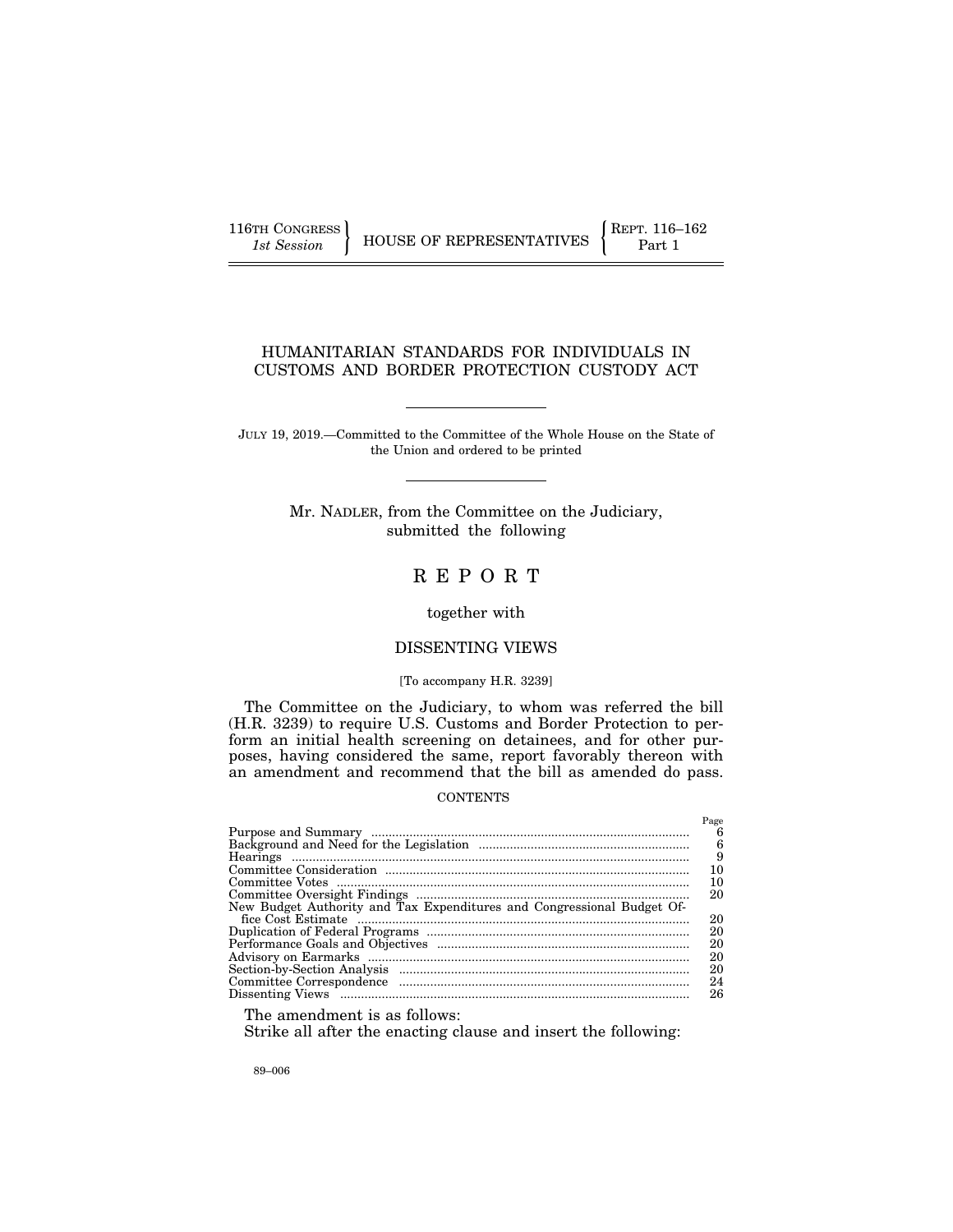116TH CONGRESS **REPRESENTATIVES** REPRESENTATIVES **Part 1** 

## HUMANITARIAN STANDARDS FOR INDIVIDUALS IN CUSTOMS AND BORDER PROTECTION CUSTODY ACT

JULY 19, 2019.—Committed to the Committee of the Whole House on the State of the Union and ordered to be printed

> Mr. NADLER, from the Committee on the Judiciary, submitted the following

# R E P O R T

## together with

## DISSENTING VIEWS

#### [To accompany H.R. 3239]

The Committee on the Judiciary, to whom was referred the bill (H.R. 3239) to require U.S. Customs and Border Protection to perform an initial health screening on detainees, and for other purposes, having considered the same, report favorably thereon with an amendment and recommend that the bill as amended do pass.

## CONTENTS

|                                                                                                                                                                                                                                | Page |
|--------------------------------------------------------------------------------------------------------------------------------------------------------------------------------------------------------------------------------|------|
|                                                                                                                                                                                                                                | 6    |
|                                                                                                                                                                                                                                | 6    |
|                                                                                                                                                                                                                                | 9    |
|                                                                                                                                                                                                                                | 10   |
|                                                                                                                                                                                                                                | 10   |
|                                                                                                                                                                                                                                | 20   |
| New Budget Authority and Tax Expenditures and Congressional Budget Of-                                                                                                                                                         |      |
|                                                                                                                                                                                                                                | 20   |
|                                                                                                                                                                                                                                | 20   |
|                                                                                                                                                                                                                                | 20   |
|                                                                                                                                                                                                                                | 20   |
|                                                                                                                                                                                                                                | 20   |
|                                                                                                                                                                                                                                | 24   |
| Dissenting Views measurements and the property views of the set of the set of the set of the set of the set of the set of the set of the set of the set of the set of the set of the set of the set of the set of the set of t | 26   |
|                                                                                                                                                                                                                                |      |

The amendment is as follows:

Strike all after the enacting clause and insert the following:

89–006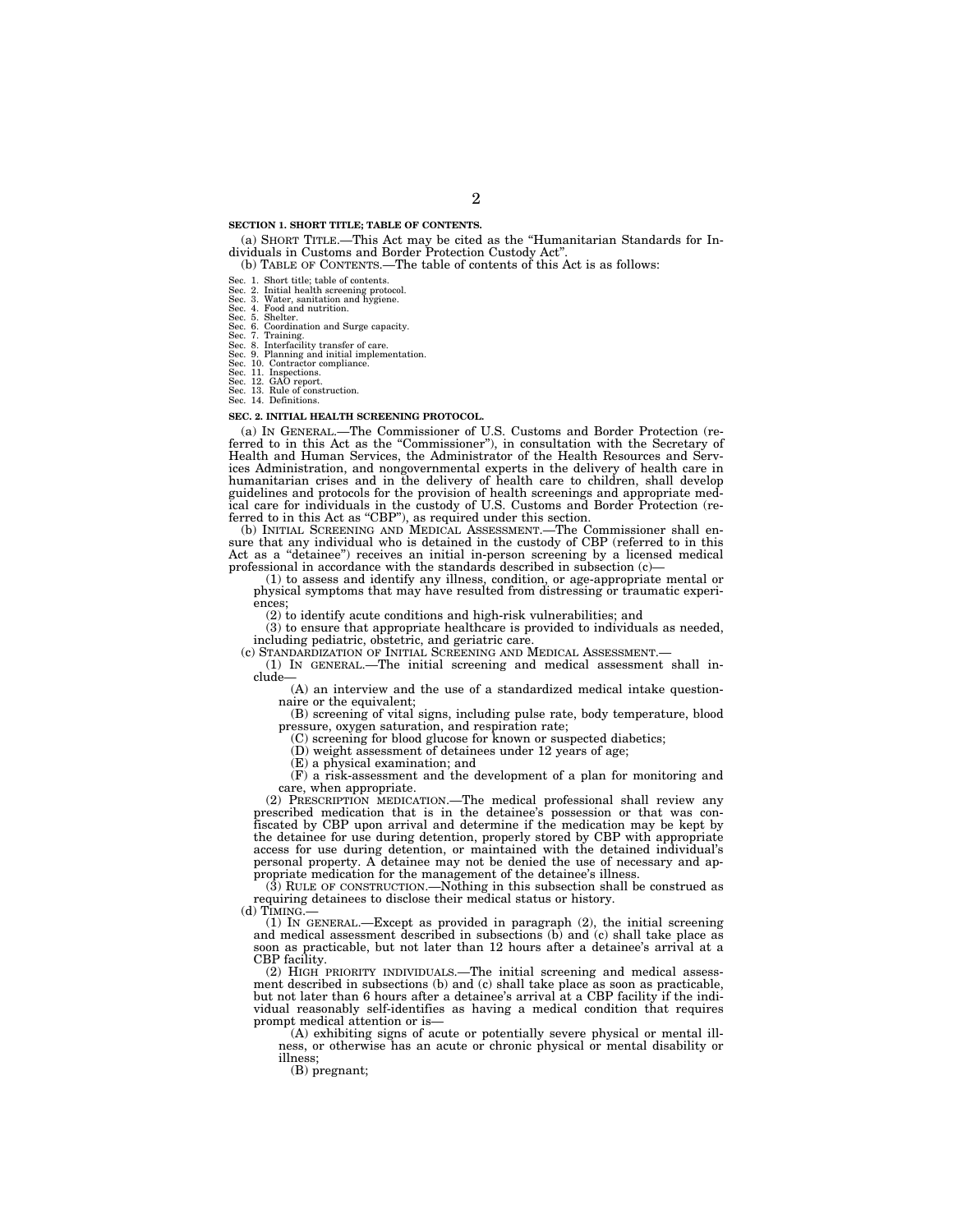#### **SECTION 1. SHORT TITLE; TABLE OF CONTENTS.**

(a) SHORT TITLE.—This Act may be cited as the ''Humanitarian Standards for Individuals in Customs and Border Protection Custody Act''.

(b) TABLE OF CONTENTS.—The table of contents of this Act is as follows:

Sec. 1. Short title; table of contents.

Sec. 2. Initial health screening protocol. Sec. 3. Water, sanitation and hygiene. Sec. 4. Food and nutrition.

Sec. 5. Shelter.

Sec. 6. Coordination and Surge capacity. Sec. 7. Training. Sec. 8. Interfacility transfer of care. Sec. 9. Planning and initial implementation. Sec. 10. Contractor compliance.

Sec. 11. Inspections. Sec. 12. GAO report.

Sec. 13. Rule of construction. Sec. 14. Definitions.

#### **SEC. 2. INITIAL HEALTH SCREENING PROTOCOL.**

(a) IN GENERAL.—The Commissioner of U.S. Customs and Border Protection (referred to in this Act as the "Commissioner"), in consultation with the Secretary of Health and Human Services, the Administrator of the Health Resources and Services Administration, and nongovernmental experts in the delivery of health care in humanitarian crises and in the delivery of health care to children, shall develop guidelines and protocols for the provision of health screenings and appropriate medical care for individuals in the custody of U.S. Customs and Border Protection (re-ferred to in this Act as ''CBP''), as required under this section. (b) INITIAL SCREENING AND MEDICAL ASSESSMENT.—The Commissioner shall en-

sure that any individual who is detained in the custody of CBP (referred to in this Act as a ''detainee'') receives an initial in-person screening by a licensed medical professional in accordance with the standards described in subsection (c)—

(1) to assess and identify any illness, condition, or age-appropriate mental or physical symptoms that may have resulted from distressing or traumatic experiences;

(2) to identify acute conditions and high-risk vulnerabilities; and

 $(3)$  to ensure that appropriate healthcare is provided to individuals as needed, including pediatric, obstetric, and geriatric care.

(1) IN GENERAL.—The initial screening and medical assessment shall include—

(A) an interview and the use of a standardized medical intake questionnaire or the equivalent;

(B) screening of vital signs, including pulse rate, body temperature, blood pressure, oxygen saturation, and respiration rate;

(C) screening for blood glucose for known or suspected diabetics;

(D) weight assessment of detainees under 12 years of age;

(E) a physical examination; and

(F) a risk-assessment and the development of a plan for monitoring and care, when appropriate.

(2) PRESCRIPTION MEDICATION.—The medical professional shall review any prescribed medication that is in the detainee's possession or that was confiscated by CBP upon arrival and determine if the medication may be kept by the detainee for use during detention, properly stored by CBP with appropriate access for use during detention, or maintained with the detained individual's personal property. A detainee may not be denied the use of necessary and appropriate medication for the management of the detainee's illness.

(3) RULE OF CONSTRUCTION.—Nothing in this subsection shall be construed as requiring detainees to disclose their medical status or history.

(d) TIMING.— (1) IN GENERAL.—Except as provided in paragraph (2), the initial screening and medical assessment described in subsections (b) and (c) shall take place as soon as practicable, but not later than 12 hours after a detainee's arrival at a CBP facility.

(2) HIGH PRIORITY INDIVIDUALS.—The initial screening and medical assessment described in subsections (b) and (c) shall take place as soon as practicable, but not later than 6 hours after a detainee's arrival at a CBP facility if the individual reasonably self-identifies as having a medical condition that requires prompt medical attention or is—

(A) exhibiting signs of acute or potentially severe physical or mental illness, or otherwise has an acute or chronic physical or mental disability or illness;

(B) pregnant;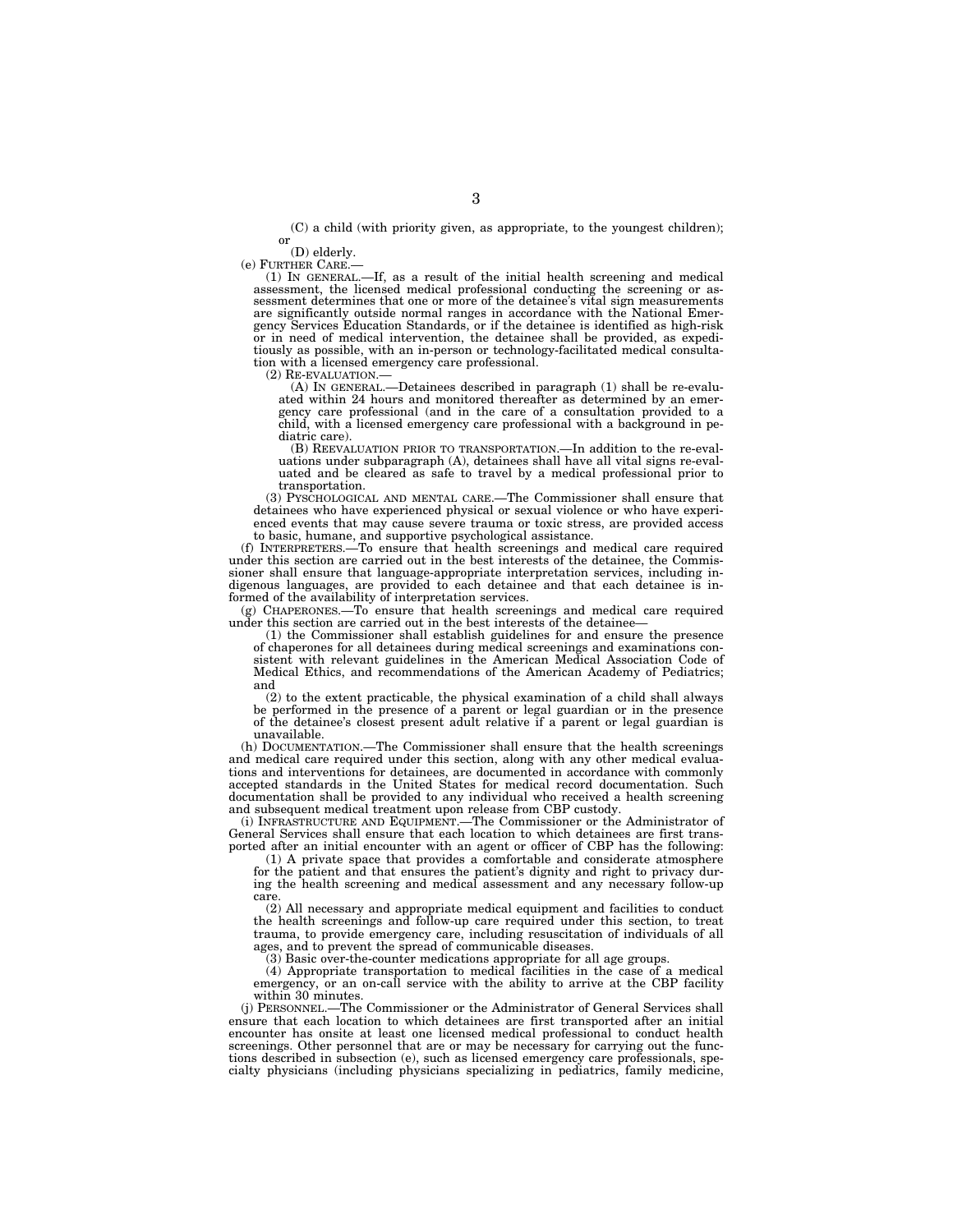(C) a child (with priority given, as appropriate, to the youngest children);<br>or (D) elderly.<br>(e) FURTHER CARE.—

(1) IN GENERAL.—If, as a result of the initial health screening and medical assessment, the licensed medical professional conducting the screening or assessment determines that one or more of the detainee's vital sign measurements are significantly outside normal ranges in accordance with the National Emergency Services Education Standards, or if the detainee is identified as high-risk or in need of medical intervention, the detainee shall be provided, as expeditiously as possible, with an in-person or technology-facilitated medical consultation with a licensed emergency care professional.

(2) RE-EVALUATION.— (A) IN GENERAL.—Detainees described in paragraph (1) shall be re-evalu-ated within 24 hours and monitored thereafter as determined by an emergency care professional (and in the care of a consultation provided to a child, with a licensed emergency care professional with a background in pediatric care).

(B) REEVALUATION PRIOR TO TRANSPORTATION.—In addition to the re-evaluations under subparagraph (A), detainees shall have all vital signs re-eval-uated and be cleared as safe to travel by a medical professional prior to transportation.

(3) PYSCHOLOGICAL AND MENTAL CARE.—The Commissioner shall ensure that detainees who have experienced physical or sexual violence or who have experienced events that may cause severe trauma or toxic stress, are provided access

to basic, humane, and supportive psychological assistance. (f) INTERPRETERS.—To ensure that health screenings and medical care required under this section are carried out in the best interests of the detainee, the Commissioner shall ensure that language-appropriate interpretation services, including indigenous languages, are provided to each detainee and that each detainee is informed of the availability of interpretation services.

(g) CHAPERONES.—To ensure that health screenings and medical care required under this section are carried out in the best interests of the detainee-

(1) the Commissioner shall establish guidelines for and ensure the presence of chaperones for all detainees during medical screenings and examinations consistent with relevant guidelines in the American Medical Association Code of Medical Ethics, and recommendations of the American Academy of Pediatrics; and

(2) to the extent practicable, the physical examination of a child shall always be performed in the presence of a parent or legal guardian or in the presence of the detainee's closest present adult relative if a parent or legal guardian is unavailable.

(h) DOCUMENTATION.—The Commissioner shall ensure that the health screenings and medical care required under this section, along with any other medical evaluations and interventions for detainees, are documented in accordance with commonly accepted standards in the United States for medical record documentation. Such documentation shall be provided to any individual who received a health screening and subsequent medical treatment upon release from CBP custody.

(i) INFRASTRUCTURE AND EQUIPMENT.—The Commissioner or the Administrator of General Services shall ensure that each location to which detainees are first transported after an initial encounter with an agent or officer of CBP has the following:

(1) A private space that provides a comfortable and considerate atmosphere for the patient and that ensures the patient's dignity and right to privacy during the health screening and medical assessment and any necessary follow-up care.

(2) All necessary and appropriate medical equipment and facilities to conduct the health screenings and follow-up care required under this section, to treat trauma, to provide emergency care, including resuscitation of individuals of all ages, and to prevent the spread of communicable diseases.

(3) Basic over-the-counter medications appropriate for all age groups.

(4) Appropriate transportation to medical facilities in the case of a medical emergency, or an on-call service with the ability to arrive at the CBP facility within 30 minutes.

(j) PERSONNEL.—The Commissioner or the Administrator of General Services shall ensure that each location to which detainees are first transported after an initial encounter has onsite at least one licensed medical professional to conduct health screenings. Other personnel that are or may be necessary for carrying out the functions described in subsection (e), such as licensed emergency care professionals, specialty physicians (including physicians specializing in pediatrics, family medicine,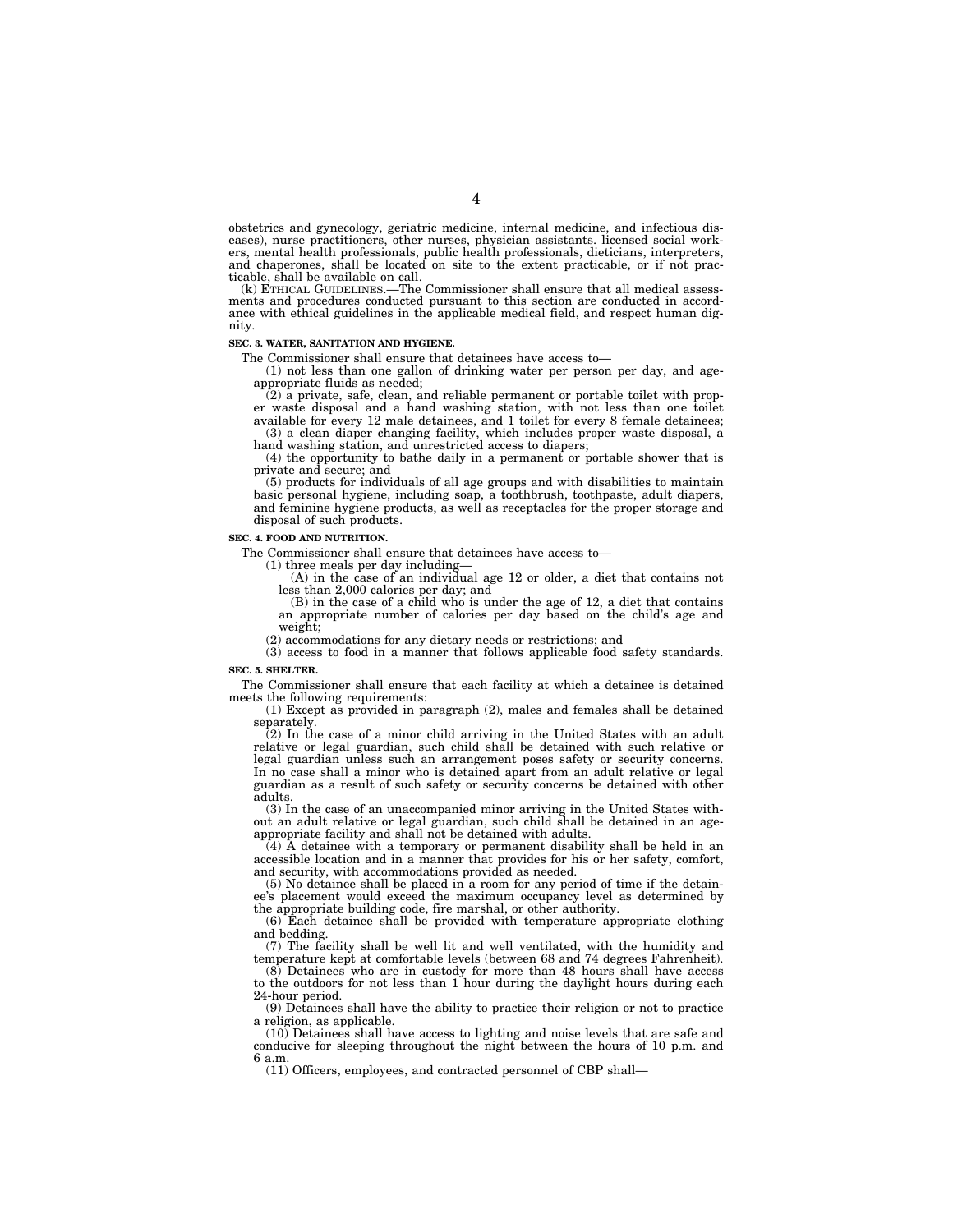obstetrics and gynecology, geriatric medicine, internal medicine, and infectious diseases), nurse practitioners, other nurses, physician assistants. licensed social workers, mental health professionals, public health professionals, dieticians, interpreters, and chaperones, shall be located on site to the extent practicable, or if not practicable, shall be available on call.

(k) ETHICAL GUIDELINES.—The Commissioner shall ensure that all medical assessments and procedures conducted pursuant to this section are conducted in accordance with ethical guidelines in the applicable medical field, and respect human dignity.

#### **SEC. 3. WATER, SANITATION AND HYGIENE.**

The Commissioner shall ensure that detainees have access to—

(1) not less than one gallon of drinking water per person per day, and ageappropriate fluids as needed;

(2) a private, safe, clean, and reliable permanent or portable toilet with prop-

er waste disposal and a hand washing station, with not less than one toilet available for every 12 male detainees, and 1 toilet for every 8 female detainees; (3) a clean diaper changing facility, which includes proper waste disposal, a hand washing station, and unrestricted access to diapers;

(4) the opportunity to bathe daily in a permanent or portable shower that is private and secure; and

(5) products for individuals of all age groups and with disabilities to maintain basic personal hygiene, including soap, a toothbrush, toothpaste, adult diapers, and feminine hygiene products, as well as receptacles for the proper storage and disposal of such products.

## **SEC. 4. FOOD AND NUTRITION.**

The Commissioner shall ensure that detainees have access to—

(1) three meals per day including—

(A) in the case of an individual age 12 or older, a diet that contains not less than 2,000 calories per day; and

(B) in the case of a child who is under the age of 12, a diet that contains an appropriate number of calories per day based on the child's age and weight;

(2) accommodations for any dietary needs or restrictions; and

(3) access to food in a manner that follows applicable food safety standards. **SEC. 5. SHELTER.** 

The Commissioner shall ensure that each facility at which a detainee is detained meets the following requirements:

(1) Except as provided in paragraph (2), males and females shall be detained separately.

(2) In the case of a minor child arriving in the United States with an adult relative or legal guardian, such child shall be detained with such relative or legal guardian unless such an arrangement poses safety or security concerns. In no case shall a minor who is detained apart from an adult relative or legal guardian as a result of such safety or security concerns be detained with other adults.

(3) In the case of an unaccompanied minor arriving in the United States without an adult relative or legal guardian, such child shall be detained in an ageappropriate facility and shall not be detained with adults.

(4) A detainee with a temporary or permanent disability shall be held in an accessible location and in a manner that provides for his or her safety, comfort, and security, with accommodations provided as needed.

(5) No detainee shall be placed in a room for any period of time if the detainee's placement would exceed the maximum occupancy level as determined by the appropriate building code, fire marshal, or other authority.

(6) Each detainee shall be provided with temperature appropriate clothing and bedding.

(7) The facility shall be well lit and well ventilated, with the humidity and temperature kept at comfortable levels (between 68 and 74 degrees Fahrenheit).

(8) Detainees who are in custody for more than 48 hours shall have access to the outdoors for not less than 1 hour during the daylight hours during each 24-hour period.

(9) Detainees shall have the ability to practice their religion or not to practice a religion, as applicable.

(10) Detainees shall have access to lighting and noise levels that are safe and conducive for sleeping throughout the night between the hours of 10 p.m. and 6 a.m.

(11) Officers, employees, and contracted personnel of CBP shall—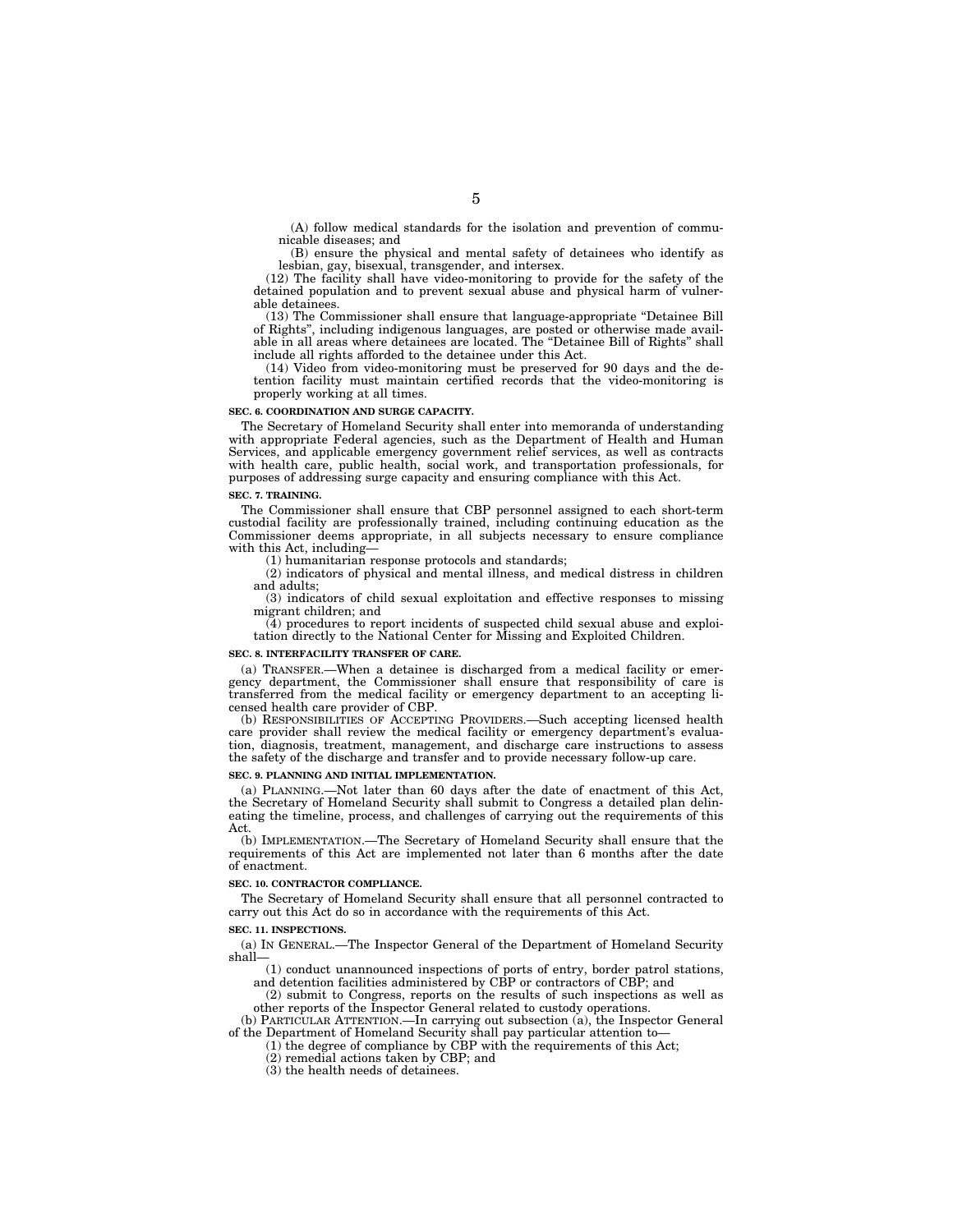(A) follow medical standards for the isolation and prevention of communicable diseases; and

(B) ensure the physical and mental safety of detainees who identify as lesbian, gay, bisexual, transgender, and intersex.

(12) The facility shall have video-monitoring to provide for the safety of the detained population and to prevent sexual abuse and physical harm of vulnerable detainees.

(13) The Commissioner shall ensure that language-appropriate ''Detainee Bill of Rights'', including indigenous languages, are posted or otherwise made available in all areas where detainees are located. The ''Detainee Bill of Rights'' shall include all rights afforded to the detainee under this Act.

(14) Video from video-monitoring must be preserved for 90 days and the detention facility must maintain certified records that the video-monitoring is properly working at all times.

#### **SEC. 6. COORDINATION AND SURGE CAPACITY.**

The Secretary of Homeland Security shall enter into memoranda of understanding with appropriate Federal agencies, such as the Department of Health and Human Services, and applicable emergency government relief services, as well as contracts with health care, public health, social work, and transportation professionals, for purposes of addressing surge capacity and ensuring compliance with this Act.

#### **SEC. 7. TRAINING.**

The Commissioner shall ensure that CBP personnel assigned to each short-term custodial facility are professionally trained, including continuing education as the Commissioner deems appropriate, in all subjects necessary to ensure compliance with this Act, including—

(1) humanitarian response protocols and standards;

(2) indicators of physical and mental illness, and medical distress in children and adults;

(3) indicators of child sexual exploitation and effective responses to missing migrant children; and

(4) procedures to report incidents of suspected child sexual abuse and exploitation directly to the National Center for Missing and Exploited Children.

#### **SEC. 8. INTERFACILITY TRANSFER OF CARE.**

(a) TRANSFER.—When a detainee is discharged from a medical facility or emergency department, the Commissioner shall ensure that responsibility of care is transferred from the medical facility or emergency department to an accepting licensed health care provider of CBP.

(b) RESPONSIBILITIES OF ACCEPTING PROVIDERS.—Such accepting licensed health care provider shall review the medical facility or emergency department's evaluation, diagnosis, treatment, management, and discharge care instructions to assess the safety of the discharge and transfer and to provide necessary follow-up care.

#### **SEC. 9. PLANNING AND INITIAL IMPLEMENTATION.**

(a) PLANNING.—Not later than 60 days after the date of enactment of this Act, the Secretary of Homeland Security shall submit to Congress a detailed plan delineating the timeline, process, and challenges of carrying out the requirements of this Act.

(b) IMPLEMENTATION.—The Secretary of Homeland Security shall ensure that the requirements of this Act are implemented not later than 6 months after the date of enactment.

#### **SEC. 10. CONTRACTOR COMPLIANCE.**

The Secretary of Homeland Security shall ensure that all personnel contracted to carry out this Act do so in accordance with the requirements of this Act.

#### **SEC. 11. INSPECTIONS.**

(a) IN GENERAL.—The Inspector General of the Department of Homeland Security shall—

(1) conduct unannounced inspections of ports of entry, border patrol stations, and detention facilities administered by CBP or contractors of CBP; and

(2) submit to Congress, reports on the results of such inspections as well as other reports of the Inspector General related to custody operations.

(b) PARTICULAR ATTENTION.—In carrying out subsection (a), the Inspector General of the Department of Homeland Security shall pay particular attention to—

(1) the degree of compliance by CBP with the requirements of this Act;

(2) remedial actions taken by CBP; and

(3) the health needs of detainees.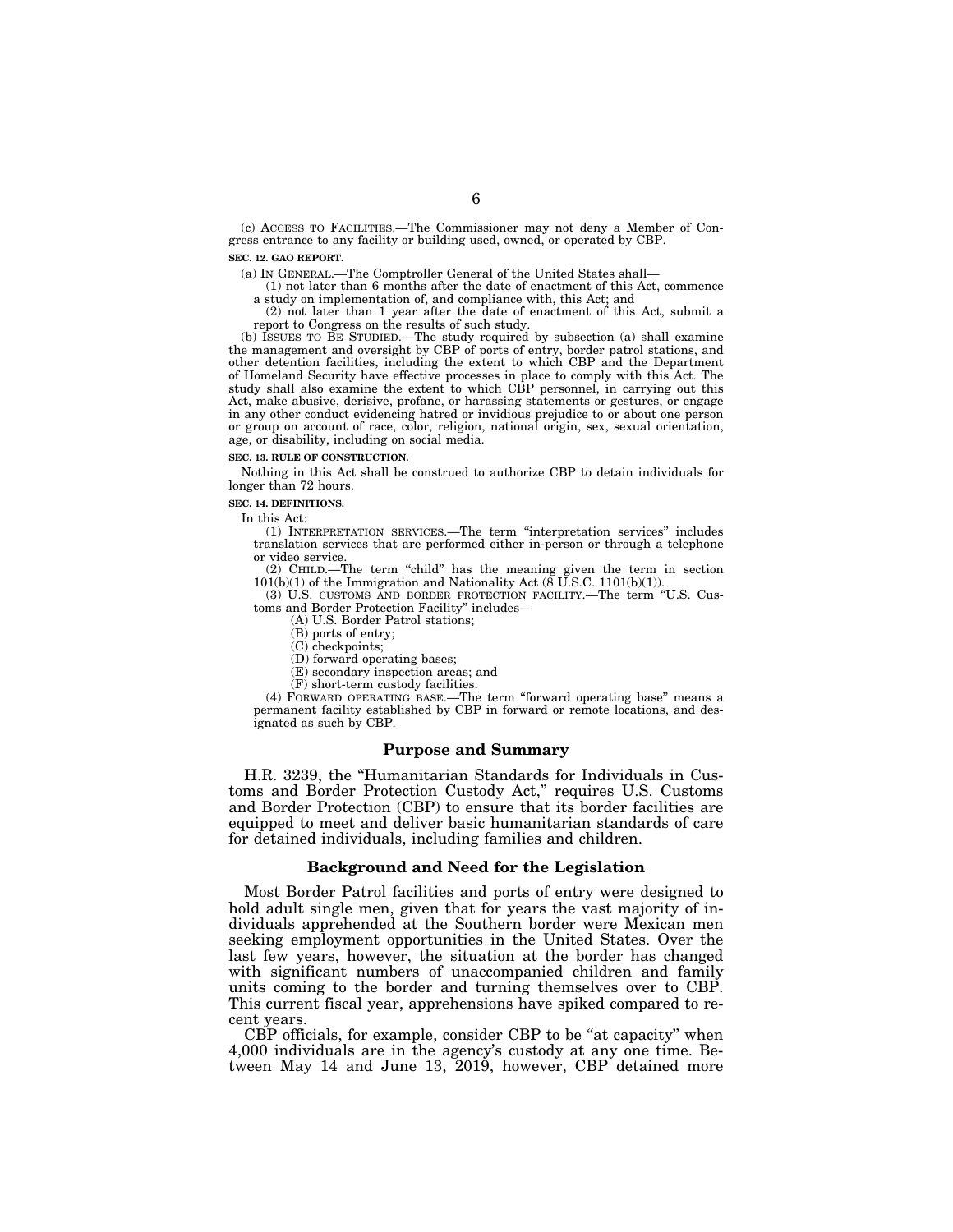(c) ACCESS TO FACILITIES.—The Commissioner may not deny a Member of Congress entrance to any facility or building used, owned, or operated by CBP.

## **SEC. 12. GAO REPORT.**

(a) IN GENERAL.—The Comptroller General of the United States shall—

(1) not later than 6 months after the date of enactment of this Act, commence a study on implementation of, and compliance with, this Act; and

(2) not later than 1 year after the date of enactment of this Act, submit a report to Congress on the results of such study.

(b) ISSUES TO BE STUDIED.—The study required by subsection (a) shall examine the management and oversight by CBP of ports of entry, border patrol stations, and other detention facilities, including the extent to which CBP and the Department of Homeland Security have effective processes in place to comply with this Act. The study shall also examine the extent to which CBP personnel, in carrying out this Act, make abusive, derisive, profane, or harassing statements or gestures, or engage in any other conduct evidencing hatred or invidious prejudice to or about one person or group on account of race, color, religion, national origin, sex, sexual orientation, age, or disability, including on social media.

#### **SEC. 13. RULE OF CONSTRUCTION.**

Nothing in this Act shall be construed to authorize CBP to detain individuals for longer than 72 hours.

#### **SEC. 14. DEFINITIONS.**

In this Act:

(1) INTERPRETATION SERVICES.—The term ''interpretation services'' includes translation services that are performed either in-person or through a telephone or video service.

(2) CHILD.—The term ''child'' has the meaning given the term in section 101(b)(1) of the Immigration and Nationality Act (8 U.S.C. 1101(b)(1)).

(3) U.S. CUSTOMS AND BORDER PROTECTION FACILITY.—The term ''U.S. Customs and Border Protection Facility'' includes—

(A) U.S. Border Patrol stations;

(B) ports of entry;

(C) checkpoints;

(D) forward operating bases;

(E) secondary inspection areas; and

(F) short-term custody facilities.

(4) FORWARD OPERATING BASE.—The term ''forward operating base'' means a permanent facility established by CBP in forward or remote locations, and designated as such by CBP.

#### **Purpose and Summary**

H.R. 3239, the ''Humanitarian Standards for Individuals in Customs and Border Protection Custody Act,'' requires U.S. Customs and Border Protection (CBP) to ensure that its border facilities are equipped to meet and deliver basic humanitarian standards of care for detained individuals, including families and children.

#### **Background and Need for the Legislation**

Most Border Patrol facilities and ports of entry were designed to hold adult single men, given that for years the vast majority of individuals apprehended at the Southern border were Mexican men seeking employment opportunities in the United States. Over the last few years, however, the situation at the border has changed with significant numbers of unaccompanied children and family units coming to the border and turning themselves over to CBP. This current fiscal year, apprehensions have spiked compared to recent years.

CBP officials, for example, consider CBP to be "at capacity" when 4,000 individuals are in the agency's custody at any one time. Between May 14 and June 13, 2019, however, CBP detained more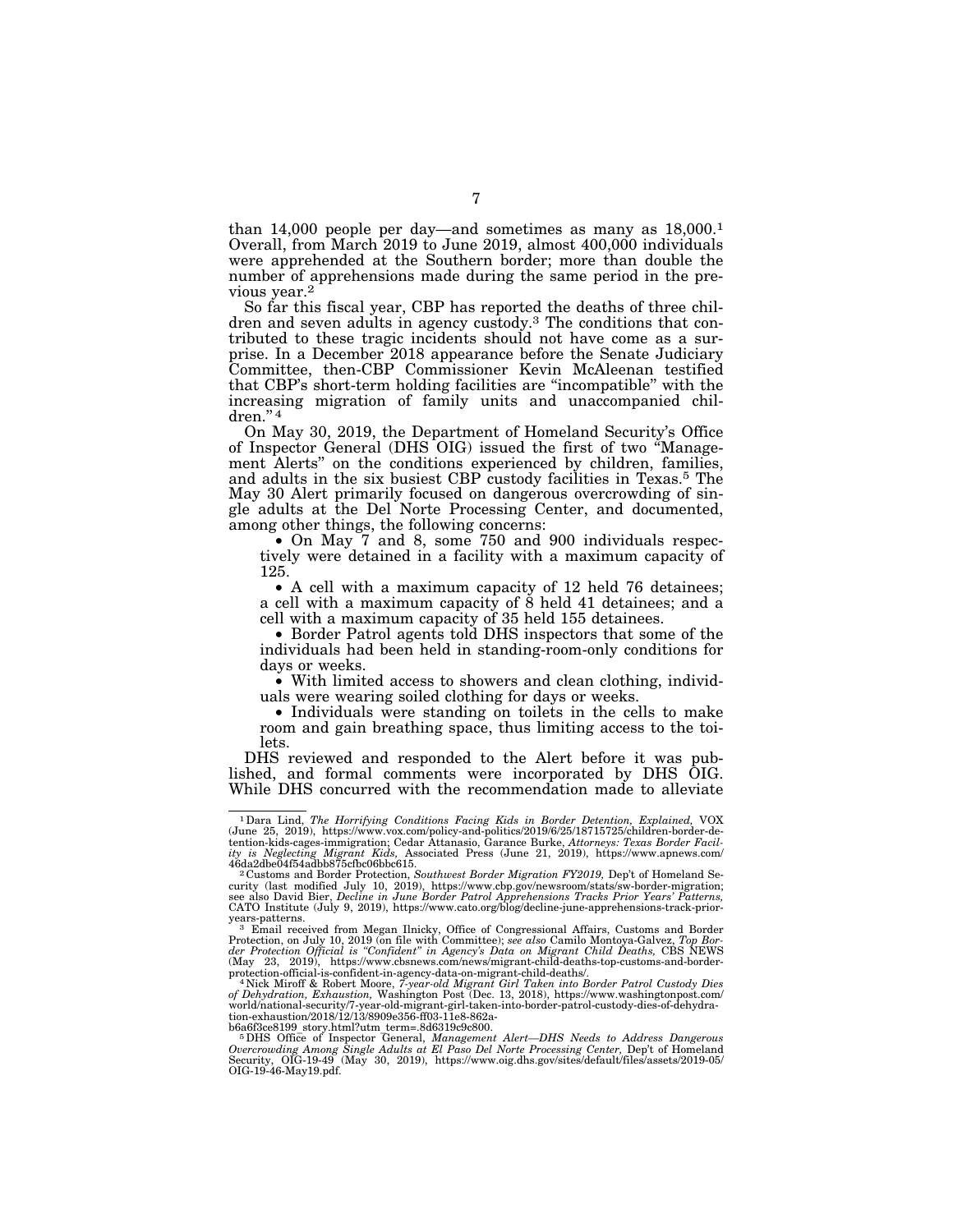than 14,000 people per day—and sometimes as many as  $18,000$ <sup>1</sup> Overall, from March 2019 to June 2019, almost 400,000 individuals were apprehended at the Southern border; more than double the number of apprehensions made during the same period in the previous year.2

So far this fiscal year, CBP has reported the deaths of three children and seven adults in agency custody.3 The conditions that contributed to these tragic incidents should not have come as a surprise. In a December 2018 appearance before the Senate Judiciary Committee, then-CBP Commissioner Kevin McAleenan testified that CBP's short-term holding facilities are ''incompatible'' with the increasing migration of family units and unaccompanied chil $dren.$ " $4$ 

On May 30, 2019, the Department of Homeland Security's Office of Inspector General (DHS OIG) issued the first of two ''Management Alerts'' on the conditions experienced by children, families, and adults in the six busiest CBP custody facilities in Texas.5 The May 30 Alert primarily focused on dangerous overcrowding of single adults at the Del Norte Processing Center, and documented, among other things, the following concerns:

• On May 7 and 8, some 750 and 900 individuals respectively were detained in a facility with a maximum capacity of 125.

• A cell with a maximum capacity of 12 held 76 detainees; a cell with a maximum capacity of 8 held 41 detainees; and a cell with a maximum capacity of 35 held 155 detainees.

• Border Patrol agents told DHS inspectors that some of the individuals had been held in standing-room-only conditions for days or weeks.

• With limited access to showers and clean clothing, individuals were wearing soiled clothing for days or weeks.

• Individuals were standing on toilets in the cells to make room and gain breathing space, thus limiting access to the toilets.

DHS reviewed and responded to the Alert before it was published, and formal comments were incorporated by DHS OIG. While DHS concurred with the recommendation made to alleviate

<sup>1</sup>Dara Lind, *The Horrifying Conditions Facing Kids in Border Detention, Explained,* VOX (June 25, 2019), https://www.vox.com/policy-and-politics/2019/6/25/18715725/children-border-de-tention-kids-cages-immigration; Cedar Attanasio, Garance Burke, *Attorneys: Texas Border Facility is Neglecting Migrant Kids,* Associated Press (June 21, 2019), https://www.apnews.com/

<sup>&</sup>lt;sup>2</sup> Customs and Border Protection, *Southwest Border Migration FY2019*, Dep't of Homeland Security (last modified July 10, 2019), https://www.cbp.gov/newsroom/stats/sw-border-migration;<br>see also David Bier, *Decline in June Border Patrol Apprehensions Tracks Prior Years' Patterns,*<br>CATO Institute (July 9, 2019),

years-patterns.<br>
<sup>3</sup> Email received from Megan Ilnicky, Office of Congressional Affairs, Customs and Border<br>
Protection, on July 10, 2019 (on file with Committee); see also Camilo Montoya-Galvez, Top Bor-<br> *Protection Offi* 

*of Dehydration, Exhaustion,* Washington Post (Dec. 13, 2018), https://www.washingtonpost.com/ world/national-security/7-year-old-migrant-girl-taken-into-border-patrol-custody-dies-of-dehydration-exhaustion/2018/12/13/8909e356-ff03-11e8-862a-

b6a6f3ce8199\_story.html?utm\_term=.8d6319c9c800. 5DHS Office of Inspector General, *Management Alert—DHS Needs to Address Dangerous Overcrowding Among Single Adults at El Paso Del Norte Processing Center, D*ep't of Homeland<br>Security, OIG-19-49 (May 30, 2019), https://www.oig.dhs.gov/sites/default/files/assets/2019-05/<br>OIG-19-46-May19.pdf.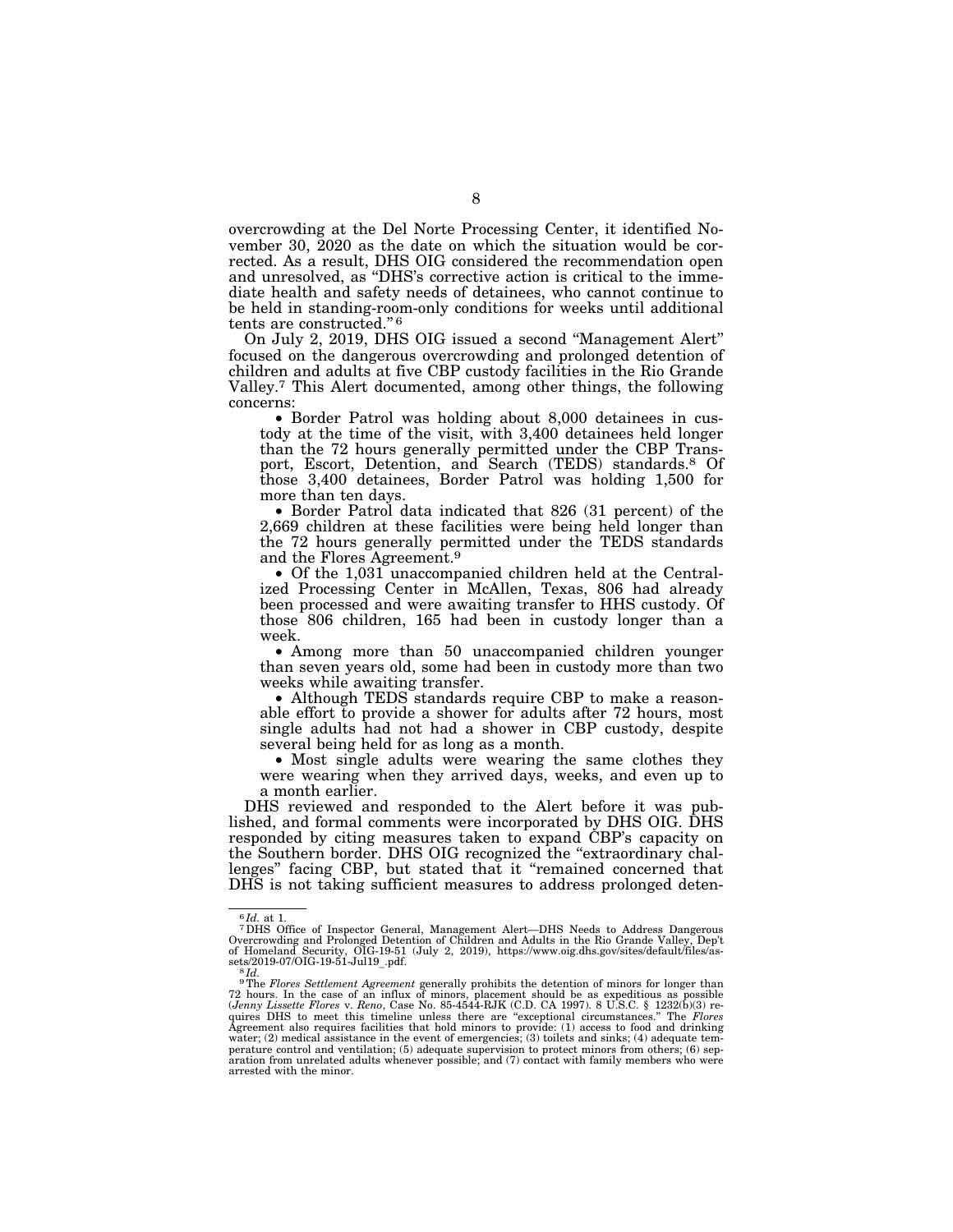overcrowding at the Del Norte Processing Center, it identified November 30, 2020 as the date on which the situation would be corrected. As a result, DHS OIG considered the recommendation open and unresolved, as ''DHS's corrective action is critical to the immediate health and safety needs of detainees, who cannot continue to be held in standing-room-only conditions for weeks until additional tents are constructed."<sup>6</sup>

On July 2, 2019, DHS OIG issued a second ''Management Alert'' focused on the dangerous overcrowding and prolonged detention of children and adults at five CBP custody facilities in the Rio Grande Valley.7 This Alert documented, among other things, the following concerns:

• Border Patrol was holding about 8,000 detainees in custody at the time of the visit, with 3,400 detainees held longer than the 72 hours generally permitted under the CBP Transport, Escort, Detention, and Search (TEDS) standards.8 Of those 3,400 detainees, Border Patrol was holding 1,500 for more than ten days.

• Border Patrol data indicated that 826 (31 percent) of the 2,669 children at these facilities were being held longer than the 72 hours generally permitted under the TEDS standards and the Flores Agreement.9

• Of the 1,031 unaccompanied children held at the Centralized Processing Center in McAllen, Texas, 806 had already been processed and were awaiting transfer to HHS custody. Of those 806 children, 165 had been in custody longer than a week.

• Among more than 50 unaccompanied children younger than seven years old, some had been in custody more than two weeks while awaiting transfer.

• Although TEDS standards require CBP to make a reasonable effort to provide a shower for adults after 72 hours, most single adults had not had a shower in CBP custody, despite several being held for as long as a month.

• Most single adults were wearing the same clothes they were wearing when they arrived days, weeks, and even up to a month earlier.

DHS reviewed and responded to the Alert before it was published, and formal comments were incorporated by DHS OIG. DHS responded by citing measures taken to expand CBP's capacity on the Southern border. DHS OIG recognized the "extraordinary challenges'' facing CBP, but stated that it ''remained concerned that DHS is not taking sufficient measures to address prolonged deten-

<sup>6</sup> *Id.* at 1. 7DHS Office of Inspector General, Management Alert—DHS Needs to Address Dangerous Overcrowding and Prolonged Detention of Children and Adults in the Rio Grande Valley, Dep't of Homeland Security, OIG-19-51 (July 2, 2019), https://www.oig.dhs.gov/sites/default/files/as-

sets/2019-07/OIG-19-51-Jul19<sub>\_-</sub>pdf.<br><sup>8</sup>Td. <br>The *Flores Settlement Agreement* generally prohibits the detention of minors for longer than<br>72 hours. In the case of an influx of minors, placement should be as expeditious a quires DHS to meet this timeline unless there are ''exceptional circumstances.'' The *Flores*  Agreement also requires facilities that hold minors to provide: (1) access to food and drinking water; (2) medical assistance in the event of emergencies; (3) toilets and sinks; (4) adequate temperature control and ventilation; (5) adequate supervision to protect minors from others; (6) sep-aration from unrelated adults whenever possible; and (7) contact with family members who were arrested with the minor.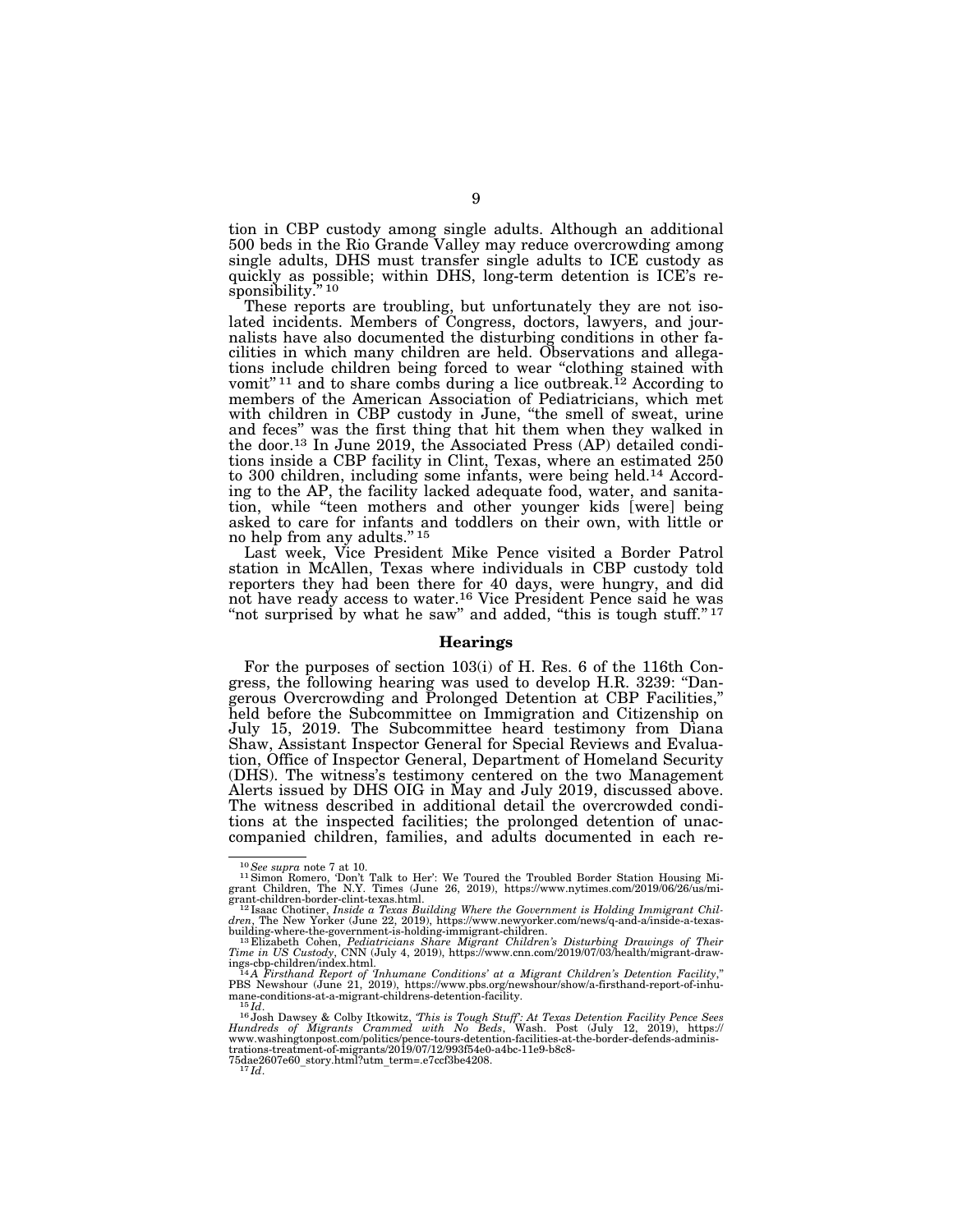tion in CBP custody among single adults. Although an additional 500 beds in the Rio Grande Valley may reduce overcrowding among single adults, DHS must transfer single adults to ICE custody as quickly as possible; within DHS, long-term detention is ICE's responsibility."<sup>10</sup>

These reports are troubling, but unfortunately they are not isolated incidents. Members of Congress, doctors, lawyers, and journalists have also documented the disturbing conditions in other facilities in which many children are held. Observations and allegations include children being forced to wear ''clothing stained with vomit"<sup>11</sup> and to share combs during a lice outbreak.<sup>12</sup> According to members of the American Association of Pediatricians, which met with children in CBP custody in June, "the smell of sweat, urine and feces'' was the first thing that hit them when they walked in the door.13 In June 2019, the Associated Press (AP) detailed conditions inside a CBP facility in Clint, Texas, where an estimated 250 to 300 children, including some infants, were being held.14 According to the AP, the facility lacked adequate food, water, and sanitation, while ''teen mothers and other younger kids [were] being asked to care for infants and toddlers on their own, with little or no help from any adults.'' 15

Last week, Vice President Mike Pence visited a Border Patrol station in McAllen, Texas where individuals in CBP custody told reporters they had been there for 40 days, were hungry, and did not have ready access to water.16 Vice President Pence said he was "not surprised by what he saw" and added, "this is tough stuff."<sup>17</sup>

#### **Hearings**

For the purposes of section 103(i) of H. Res. 6 of the 116th Congress, the following hearing was used to develop H.R. 3239: ''Dangerous Overcrowding and Prolonged Detention at CBP Facilities,'' held before the Subcommittee on Immigration and Citizenship on July 15, 2019. The Subcommittee heard testimony from Diana Shaw, Assistant Inspector General for Special Reviews and Evaluation, Office of Inspector General, Department of Homeland Security (DHS). The witness's testimony centered on the two Management Alerts issued by DHS OIG in May and July 2019, discussed above. The witness described in additional detail the overcrowded conditions at the inspected facilities; the prolonged detention of unaccompanied children, families, and adults documented in each re-

<sup>&</sup>lt;sup>10</sup>See supra note 7 at 10.<br><sup>11</sup> Simon Romero, 'Don't Talk to Her': We Toured the Troubled Border Station Housing Mi-<br>grant Children, The N.Y. Times (June 26, 2019), https://www.nytimes.com/2019/06/26/us/mi-

grant-children-border-clint-texas.html.<br><sup>12</sup> Isaac Chotiner, *Inside a Texas Building Where the Government is Holding Immigrant Chil-<br>dren, The New Yorker (June 22, 2019), https://www.newyorker.com/news/q-and-a/inside-a-te* 

building-where-the-government-is-holding-immigrant-children.<br>
<sup>13</sup> Elizabeth Cohen, Pediatricians Share Migrant Children's Disturbing Drawings of Their<br>
Time in US Custody, CNN (July 4, 2019), https://www.cnn.com/2019/07/

*Hundreds of Migrants Crammed with No Beds*, Wash. Post (July 12, 2019), https:// www.washingtonpost.com/politics/pence-tours-detention-facilities-at-the-border-defends-administrations-treatment-of-migrants/2019/07/12/993f54e0-a4bc-11e9-b8c8- 75dae2607e60\_story.html?utm\_term=.e7ccf3be4208. 17 *Id*.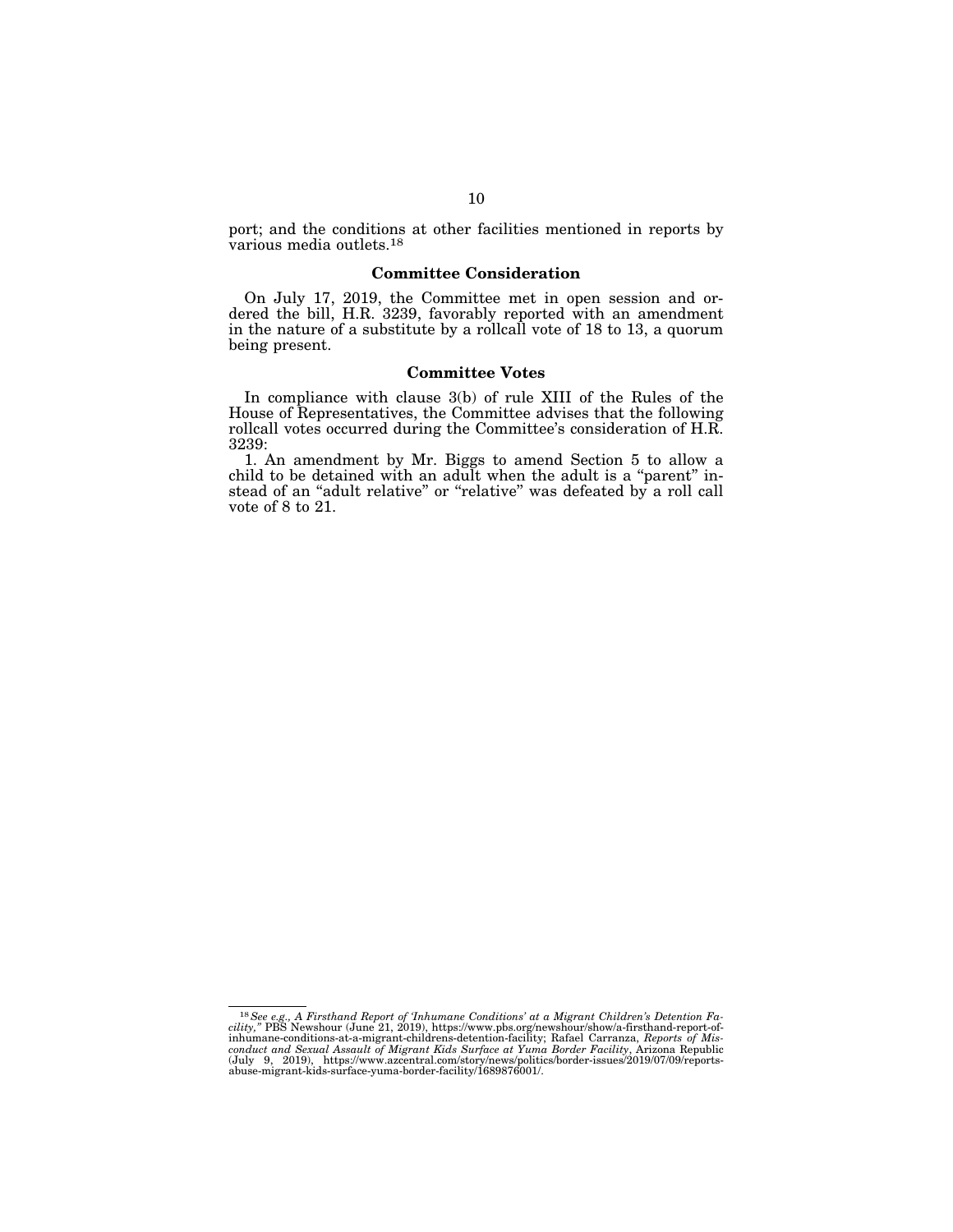port; and the conditions at other facilities mentioned in reports by various media outlets.18

## **Committee Consideration**

On July 17, 2019, the Committee met in open session and ordered the bill, H.R. 3239, favorably reported with an amendment in the nature of a substitute by a rollcall vote of 18 to 13, a quorum being present.

#### **Committee Votes**

In compliance with clause 3(b) of rule XIII of the Rules of the House of Representatives, the Committee advises that the following rollcall votes occurred during the Committee's consideration of H.R. 3239:

1. An amendment by Mr. Biggs to amend Section 5 to allow a child to be detained with an adult when the adult is a ''parent'' instead of an ''adult relative'' or ''relative'' was defeated by a roll call vote of 8 to 21.

 $^{18}$  See e.g., A Firsthand Report of Thhumane Conditions' at a Migrant Children's Detention Facility," PBS Newshour (June 21, 2019), https://www.pbs.org/newshour/show/a-firsthand-report-of-inhumane-conditions-at-a-migra conduct and Sexual Assault of Migrant Kids Surface at Yuma Border Facility, Arizona Republic<br>(July 9, 2019), https://www.azcentral.com/story/news/politics/border-issues/2019/07/09/reports-<br>abuse-migrant-kids-surface-yum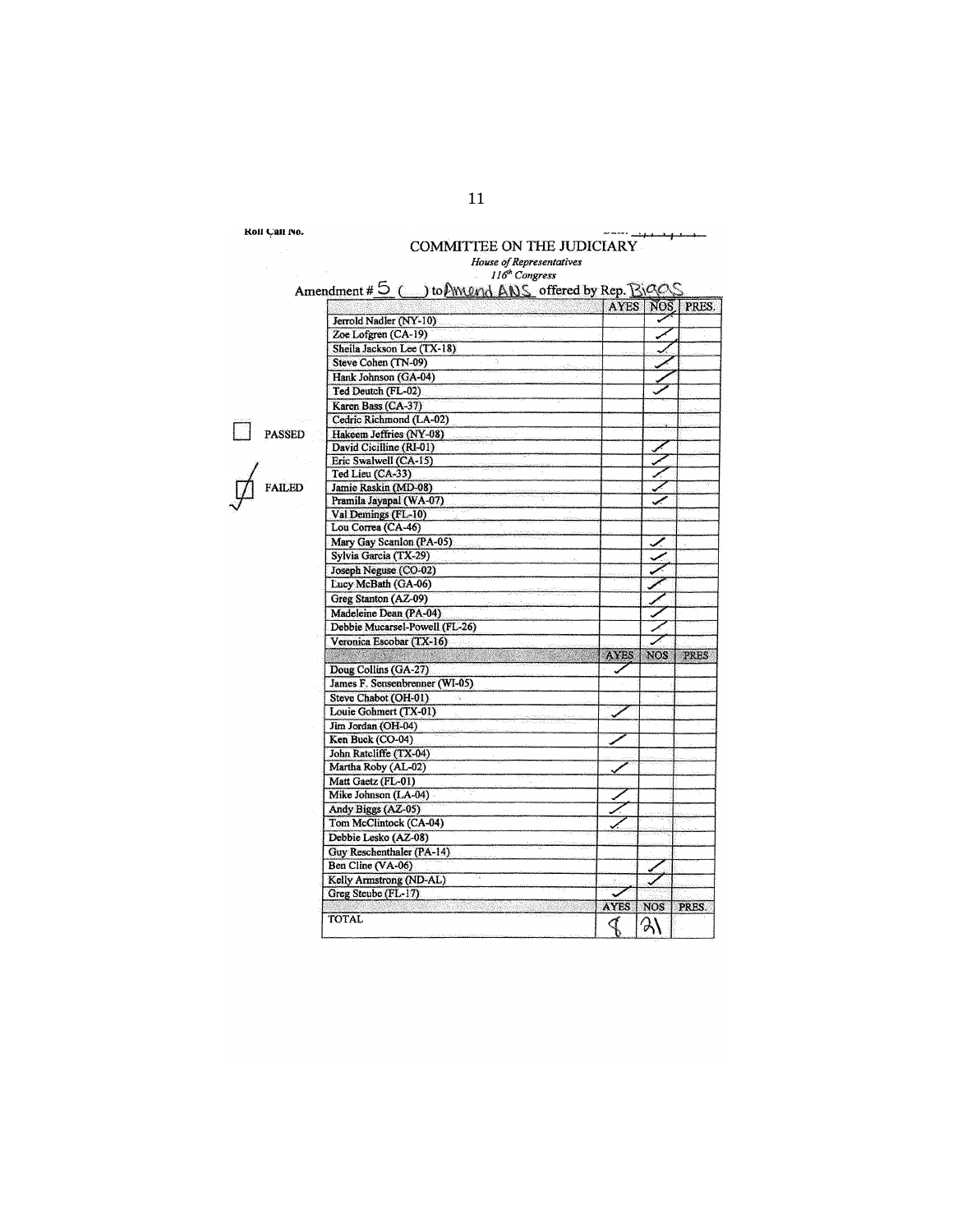**Kont** Can No.

## جبد COMMIITEE ON THE JUDICIARY *House of Representatives*

 $\sim$  =  $\sim$   $\sim$ 

 $\overline{\phantom{a}}$ 

 $\Box$  PASS<br> $\mathcal{L}$  FAII

|                                | <b>AYES</b> | NOS.       | PRES.       |
|--------------------------------|-------------|------------|-------------|
| Jerrold Nadler (NY-10)         |             |            |             |
| Zoe Lofgren (CA-19)            |             |            |             |
| Sheila Jackson Lee (TX-18)     |             |            |             |
| Steve Cohen (TN-09)            |             |            |             |
| Hank Johnson (GA-04)           |             |            |             |
| Ted Deutch (FL-02)             |             |            |             |
| Karen Bass (CA-37)             |             |            |             |
| Cedric Richmond (LA-02)        |             |            |             |
| Hakeem Jeffries (NY-08)        |             |            |             |
| David Cicilline (RI-01)        |             |            |             |
| Eric Swalwell (CA-15)          |             |            |             |
| Ted Lieu (CA-33)               |             |            |             |
| Jamie Raskin (MD-08)           |             |            |             |
| Pramila Jayapal (WA-07)        |             |            |             |
| Val Demings (FL-10)            |             |            |             |
| Lou Correa (CA-46)             |             |            |             |
| Mary Gay Scanlon (PA-05)       |             |            |             |
| Sylvia Garcia (TX-29)          |             |            |             |
| Joseph Neguse (CO-02)          |             |            |             |
| Lucy McBath (GA-06)            |             |            |             |
| Greg Stanton (AZ-09)           |             |            |             |
| Madeleine Dean (PA-04)         |             |            |             |
|                                |             |            |             |
| Debbie Mucarsel-Powell (FL-26) |             |            |             |
| Veronica Escobar (TX-16)       | <b>AYES</b> | <b>NOS</b> | <b>PRES</b> |
| Doug Collins (GA-27)           |             |            |             |
| James F. Sensenbrenner (WI-05) |             |            |             |
|                                |             |            |             |
| Steve Chabot (OH-01)           |             |            |             |
| Louie Gohmert (TX-01)          |             |            |             |
| Jim Jordan (OH-04)             |             |            |             |
| Ken Buck (CO-04)               |             |            |             |
| John Ratcliffe (TX-04)         |             |            |             |
| Martha Roby (AL-02)            |             |            |             |
| Matt Gaetz (FL-01)             |             |            |             |
| Mike Johnson (LA-04)           |             |            |             |
| Andy Biggs (AZ-05)             |             |            |             |
| Tom McClintock (CA-04)         |             |            |             |
| Debbie Lesko (AZ-08)           |             |            |             |
| Guy Reschenthaler (PA-14)      |             |            |             |
| Ben Cline (VA-06)              |             |            |             |
| Kelly Armstrong (ND-AL)        | 3.          |            |             |
| Greg Steube (FL-17)            |             |            |             |
|                                | <b>AYES</b> | <b>NOS</b> | PRES.       |
| <b>TOTAL</b>                   |             | ఎ\         |             |
|                                |             |            |             |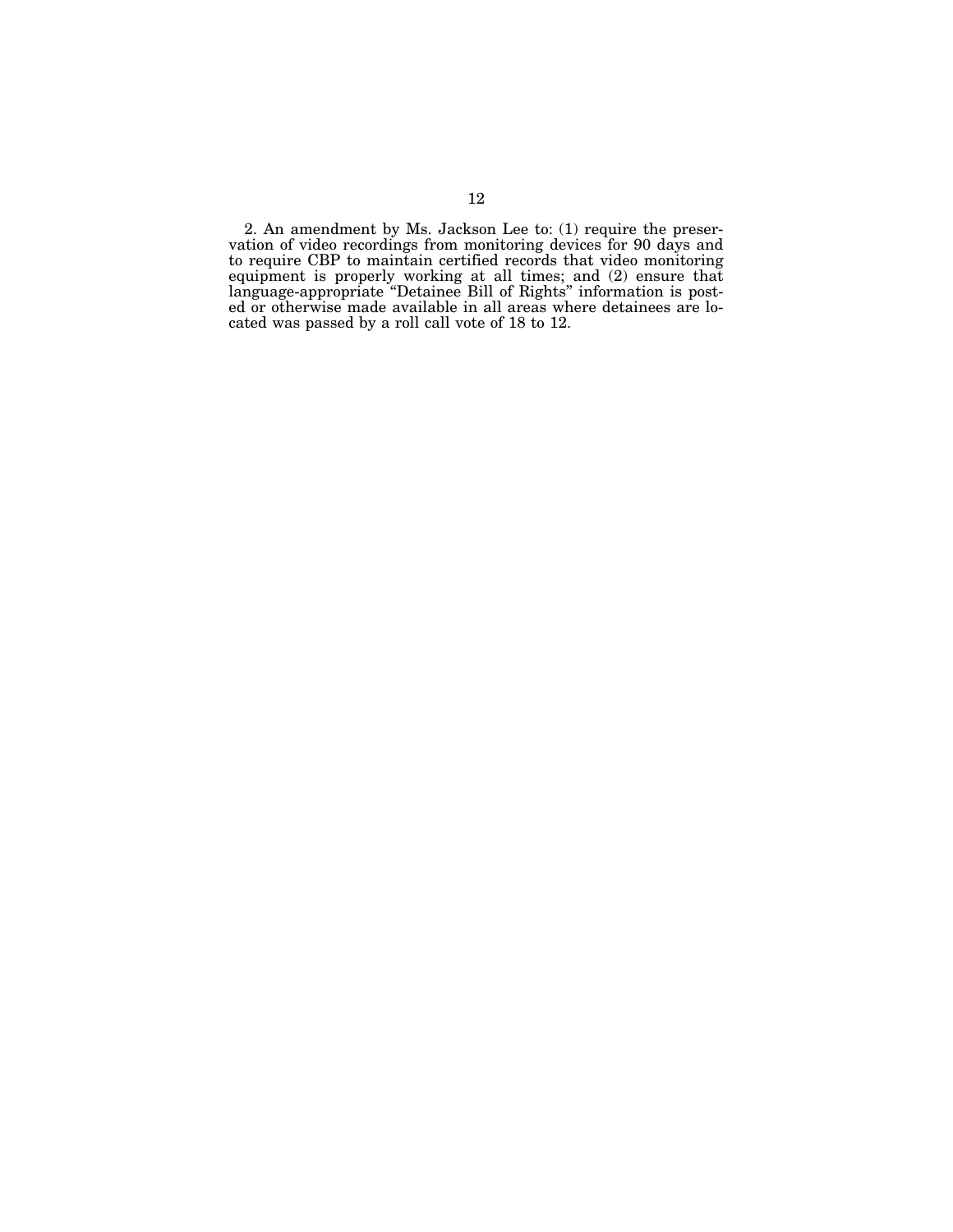2. An amendment by Ms. Jackson Lee to: (1) require the preservation of video recordings from monitoring devices for 90 days and to require CBP to maintain certified records that video monitoring equipment is properly working at all times; and (2) ensure that language-appropriate ''Detainee Bill of Rights'' information is posted or otherwise made available in all areas where detainees are located was passed by a roll call vote of 18 to 12.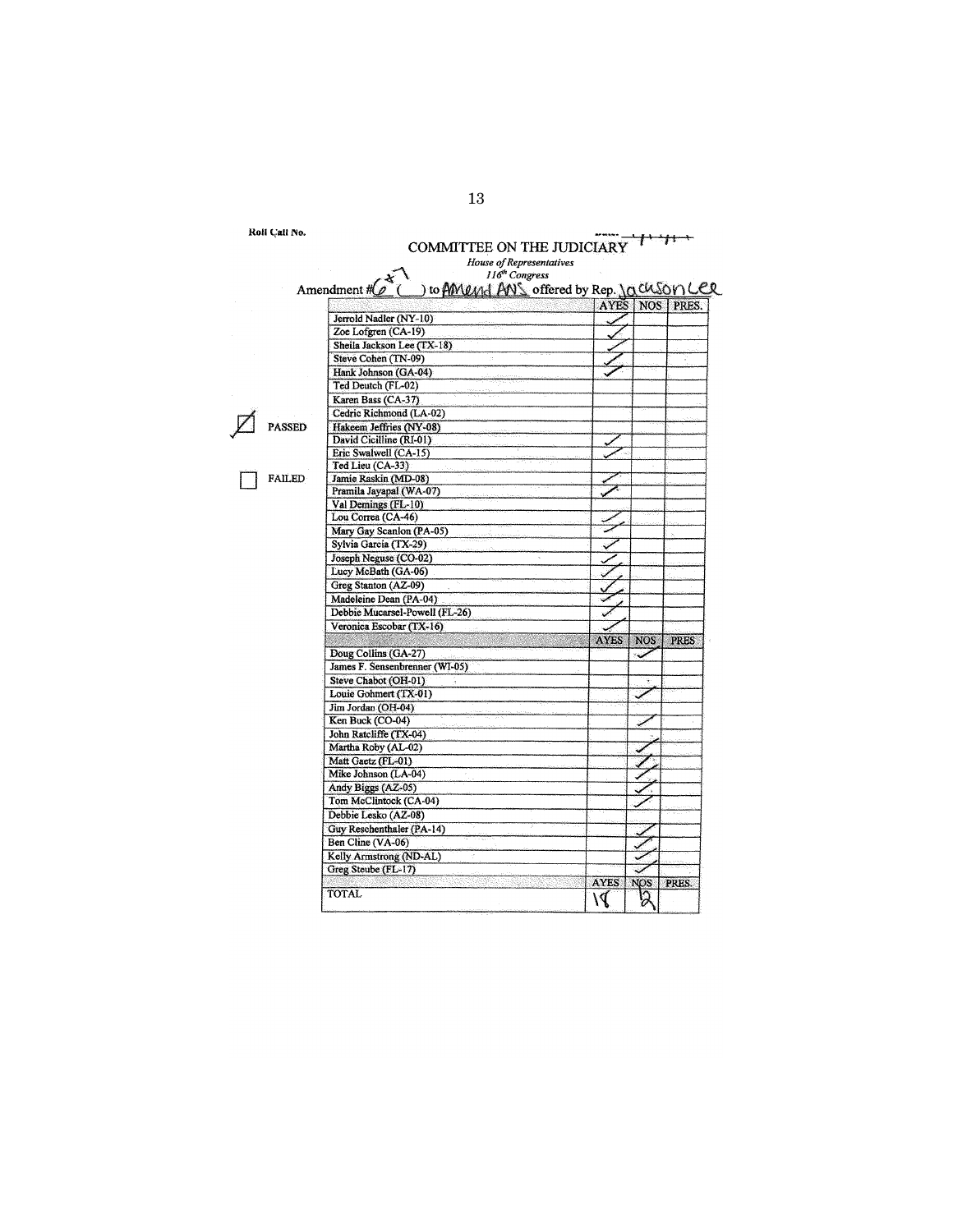Roll Call No.

| Koli Cali No. | COMMITTEE ON THE JUDICIARY                                                                            |             |            |             |
|---------------|-------------------------------------------------------------------------------------------------------|-------------|------------|-------------|
|               | House of Representatives                                                                              |             |            |             |
|               | 116 <sup>th</sup> Congress<br>Amendment $\#\mathcal{L}^*$<br>to AMUM ANS offered by Rep. 10 CUSON LER |             |            |             |
|               |                                                                                                       | <b>AYES</b> | <b>NOS</b> | PRES.       |
|               | Jerrold Nadler (NY-10)                                                                                |             |            |             |
|               | Zoe Lofgren (CA-19)                                                                                   |             |            |             |
|               | Sheila Jackson Lee (TX-18)                                                                            |             |            |             |
|               | Steve Cohen (TN-09)                                                                                   |             |            |             |
|               | Hank Johnson (GA-04)                                                                                  |             |            |             |
|               | Ted Deutch (FL-02)                                                                                    |             |            |             |
|               | Karen Bass (CA-37)                                                                                    |             |            |             |
|               | Cedric Richmond (LA-02)                                                                               |             |            |             |
| <b>PASSED</b> | Hakeem Jeffries (NY-08)                                                                               |             |            |             |
|               | David Cicilline (RI-01)                                                                               |             |            |             |
|               | Eric Swalwell (CA-15)                                                                                 |             |            |             |
|               | Ted Lieu (CA-33)                                                                                      |             |            |             |
| <b>FAILED</b> | Jamie Raskin (MD-08)                                                                                  |             |            |             |
|               | Pramila Jayapal (WA-07)                                                                               |             |            |             |
|               | Val Demings (FL-10)                                                                                   |             |            |             |
|               | Lou Correa (CA-46)                                                                                    |             |            |             |
|               | Mary Gay Scanlon (PA-05)                                                                              |             |            |             |
|               | Sylvia Garcia (TX-29)                                                                                 |             |            |             |
|               | Joseph Neguse (CO-02)                                                                                 |             |            |             |
|               | Lucy McBath (GA-06)                                                                                   |             |            |             |
|               | Greg Stanton (AZ-09)                                                                                  |             |            |             |
|               | Madeleine Dean (PA-04)                                                                                |             |            |             |
|               | Debbie Mucarsel-Powell (FL-26)                                                                        |             |            |             |
|               | Veronica Escobar (TX-16)                                                                              |             |            |             |
|               |                                                                                                       | <b>AYES</b> | <b>NOS</b> | <b>PRES</b> |
|               | Doug Collins (GA-27)                                                                                  |             |            |             |
|               | James F. Sensenbrenner (WI-05)                                                                        |             |            |             |
|               | Steve Chabot (OH-01)                                                                                  |             |            |             |
|               | Louie Gohmert (TX-01)                                                                                 |             |            |             |
|               | Jim Jordan (OH-04)                                                                                    |             |            |             |
|               | Ken Buck (CO-04)                                                                                      |             |            |             |
|               | John Ratcliffe (TX-04)                                                                                |             |            |             |
|               | Martha Roby (AL-02)                                                                                   |             |            |             |
|               | Matt Gaetz (FL-01)                                                                                    |             |            |             |
|               | Mike Johnson (LA-04)                                                                                  |             |            |             |
|               | Andy Biggs (AZ-05)                                                                                    |             |            |             |
|               | Tom McClintock (CA-04)                                                                                |             |            |             |
|               | Debbie Lesko (AZ-08)                                                                                  |             |            |             |
|               | Guy Reschenthaler (PA-14)                                                                             |             |            |             |
|               | Ben Cline (VA-06)                                                                                     |             |            |             |
|               | Kelly Armstrong (ND-AL)                                                                               |             |            |             |
|               | Greg Steube (FL-17)                                                                                   |             |            |             |
|               |                                                                                                       | <b>AYES</b> | <b>NOS</b> | PRES.       |
|               | <b>TOTAL</b>                                                                                          |             |            |             |
|               |                                                                                                       | ۱J          |            |             |
|               |                                                                                                       |             |            |             |

13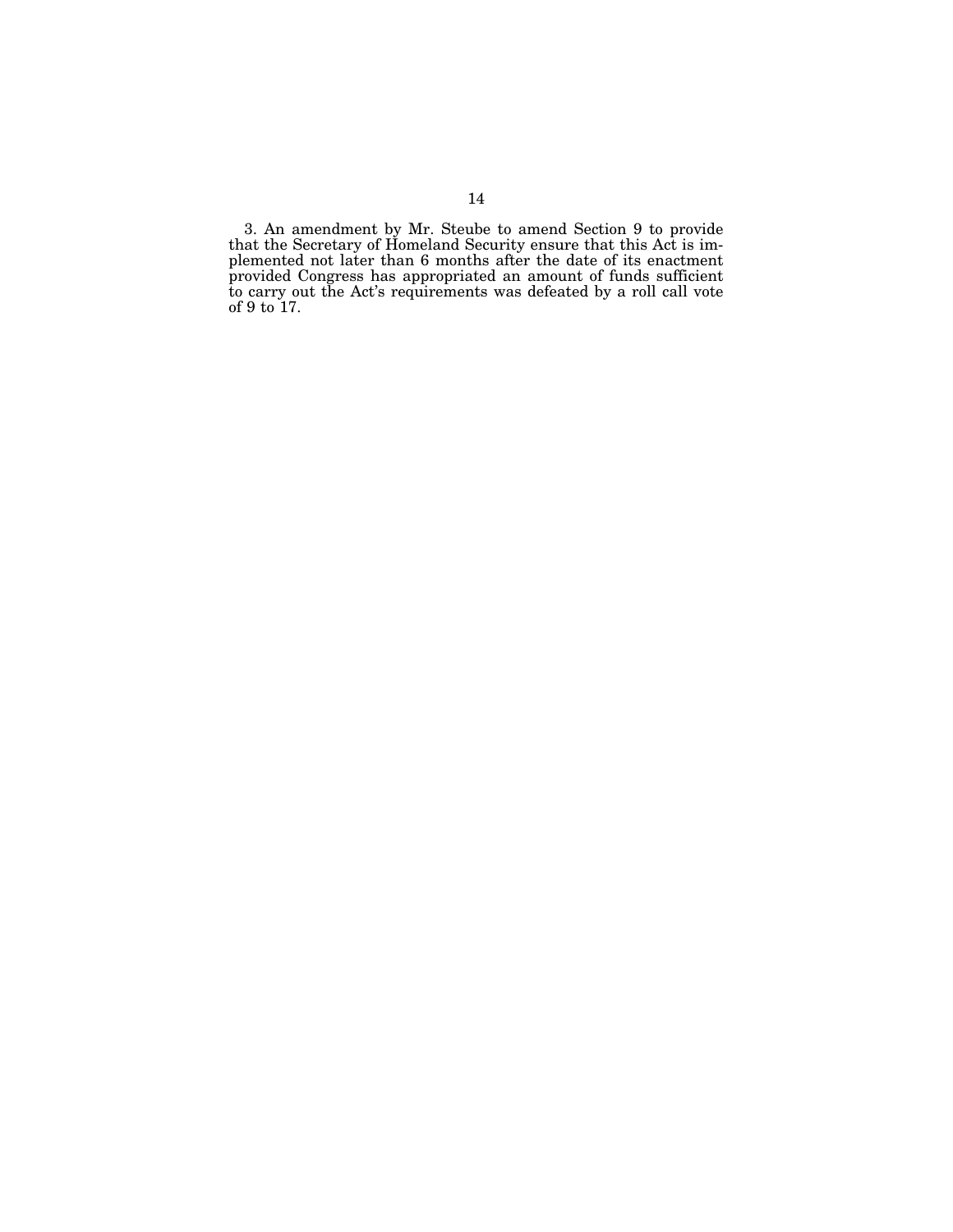3. An amendment by Mr. Steube to amend Section 9 to provide that the Secretary of Homeland Security ensure that this Act is implemented not later than 6 months after the date of its enactment provided Congress has appropriated an amount of funds sufficient to carry out the Act's requirements was defeated by a roll call vote of 9 to 17.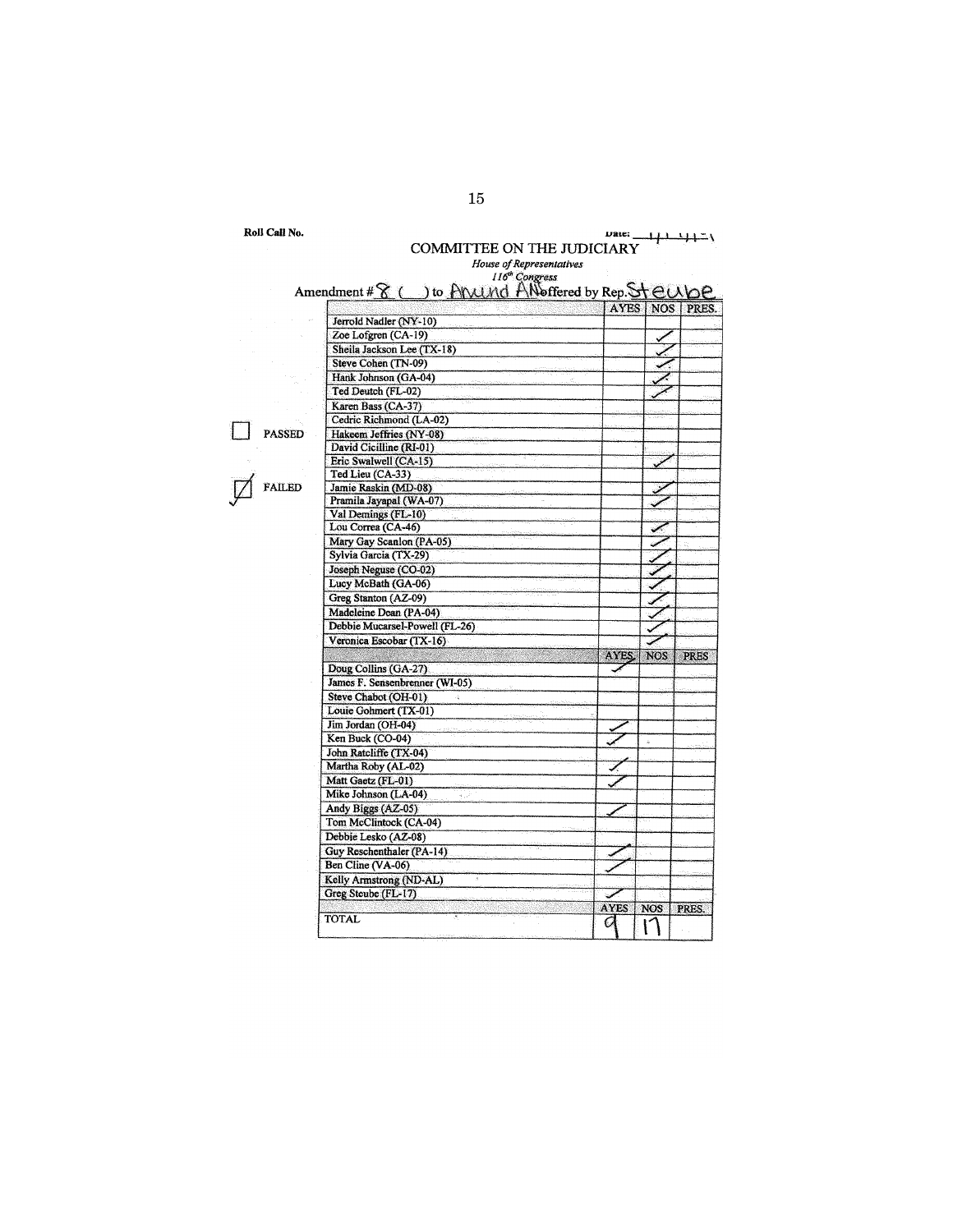|               | <b>COMMITTEE ON THE JUDICIARY</b>                      |       |            | جاجف        |
|---------------|--------------------------------------------------------|-------|------------|-------------|
|               | House of Representatives<br>116 <sup>th</sup> Congress |       |            |             |
|               | Amendment # 8 ( ) to ANUMO AN offered by Rep. Steube   |       |            |             |
|               |                                                        | AYES  |            | NOS   PRES. |
|               | Jerrold Nadler (NY-10)                                 |       |            |             |
|               | Zoe Lofgren (CA-19)                                    |       |            |             |
|               | Sheila Jackson Lee (TX-18)                             |       |            |             |
|               | Steve Cohen (TN-09)                                    |       |            |             |
|               | Hank Johnson (GA-04)                                   |       |            |             |
|               | Ted Deutch (FL-02)                                     |       |            |             |
|               | Karen Bass (CA-37)                                     |       |            |             |
|               | Cedric Richmond (LA-02)                                |       |            |             |
| <b>PASSED</b> | Hakeem Jeffries (NY-08)                                |       |            |             |
|               | David Cicilline (RI-01)                                |       |            |             |
|               | Eric Swalwell (CA-15)                                  |       |            |             |
|               | Ted Lieu (CA-33)                                       |       |            |             |
| <b>FAILED</b> | Jamie Raskin (MD-08)                                   |       |            |             |
|               | Pramila Jayapal (WA-07)                                |       |            |             |
|               | Val Demings (FL-10)                                    |       |            |             |
|               | Lou Correa (CA-46)                                     |       |            |             |
|               | Mary Gay Scanlon (PA-05)                               |       |            |             |
|               | Sylvia Garcia (TX-29)                                  |       |            |             |
|               | Joseph Neguse (CO-02)                                  |       |            |             |
|               | Lucy McBath (GA-06)                                    |       |            |             |
|               | Greg Stanton (AZ-09)                                   |       |            |             |
|               | Madeleine Dean (PA-04)                                 |       |            |             |
|               | Debbie Mucarsel-Powell (FL-26)                         |       |            |             |
|               | Veronica Escobar (TX-16)                               |       |            |             |
|               |                                                        | AYES. | <b>NOS</b> | <b>PRES</b> |
|               | Doug Collins (GA-27)                                   |       |            |             |
|               | James F. Sensenbrenner (WI-05)                         |       |            |             |
|               | Steve Chabot (OH-01)                                   |       |            |             |
|               | Louie Gohmert (TX-01)                                  |       |            |             |
|               | Jim Jordan (OH-04)                                     |       |            |             |
|               | Ken Buck (CO-04)                                       |       |            |             |
|               | John Ratcliffe (TX-04)                                 |       |            |             |
|               | Martha Roby (AL-02)<br>Matt Gaetz (FL-01)              |       |            |             |
|               | Mike Johnson (LA-04)                                   |       |            |             |
|               | فريد<br>Andy Biggs (AZ-05)                             |       |            |             |
|               | Tom McClintock (CA-04)                                 |       |            |             |
|               | Debbie Lesko (AZ-08)                                   |       |            |             |
|               |                                                        |       |            |             |

Guy Reschenthaler(J>A-14) ./ Ben Cline (VA-06)  $\sim$ 

Greg Steube  $(FL-17)$  .

TOTAL **AYES** NOS PRES

Kellv Armstrong (ND·AL)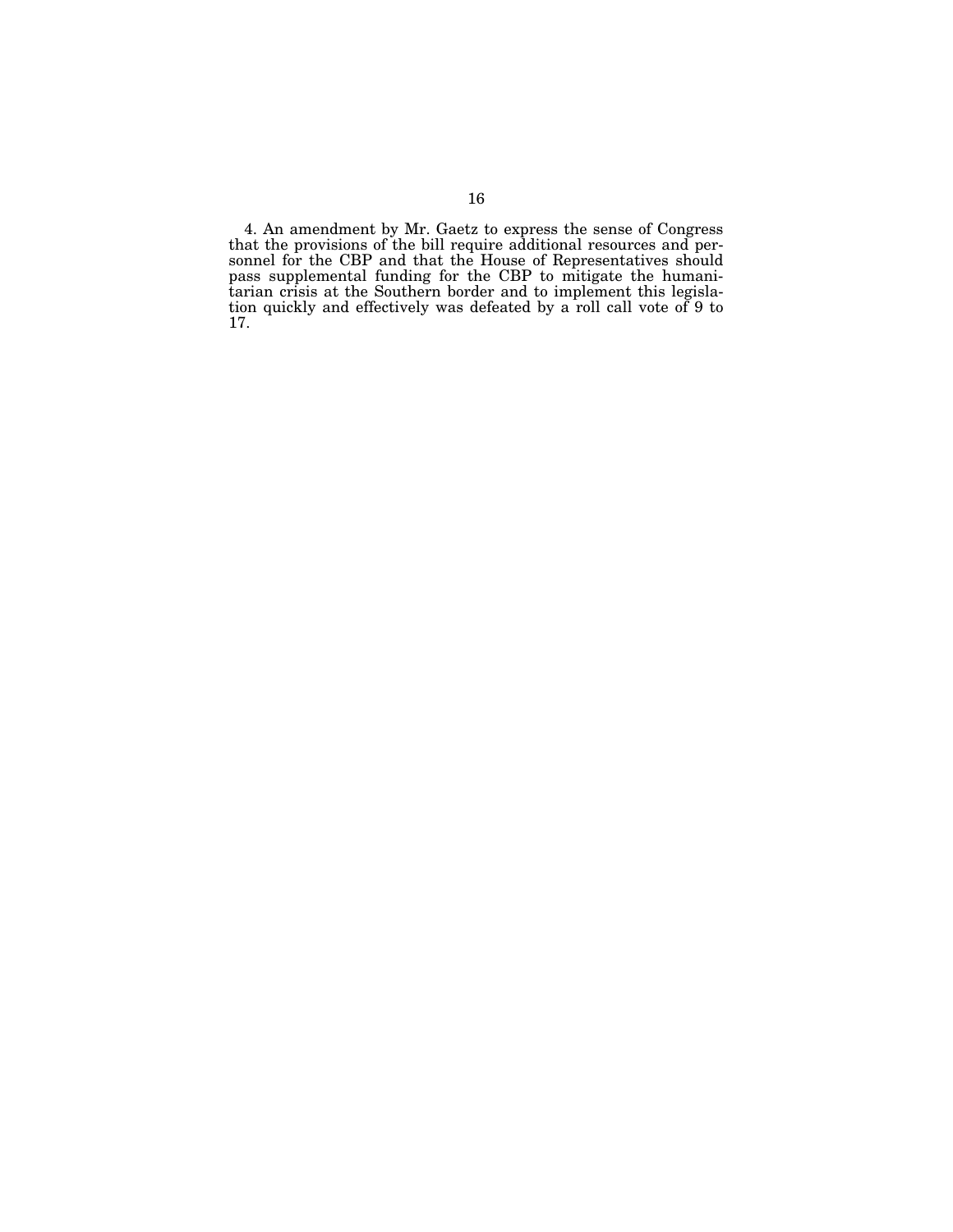4. An amendment by Mr. Gaetz to express the sense of Congress that the provisions of the bill require additional resources and personnel for the CBP and that the House of Representatives should pass supplemental funding for the CBP to mitigate the humanitarian crisis at the Southern border and to implement this legislation quickly and effectively was defeated by a roll call vote of 9 to 17.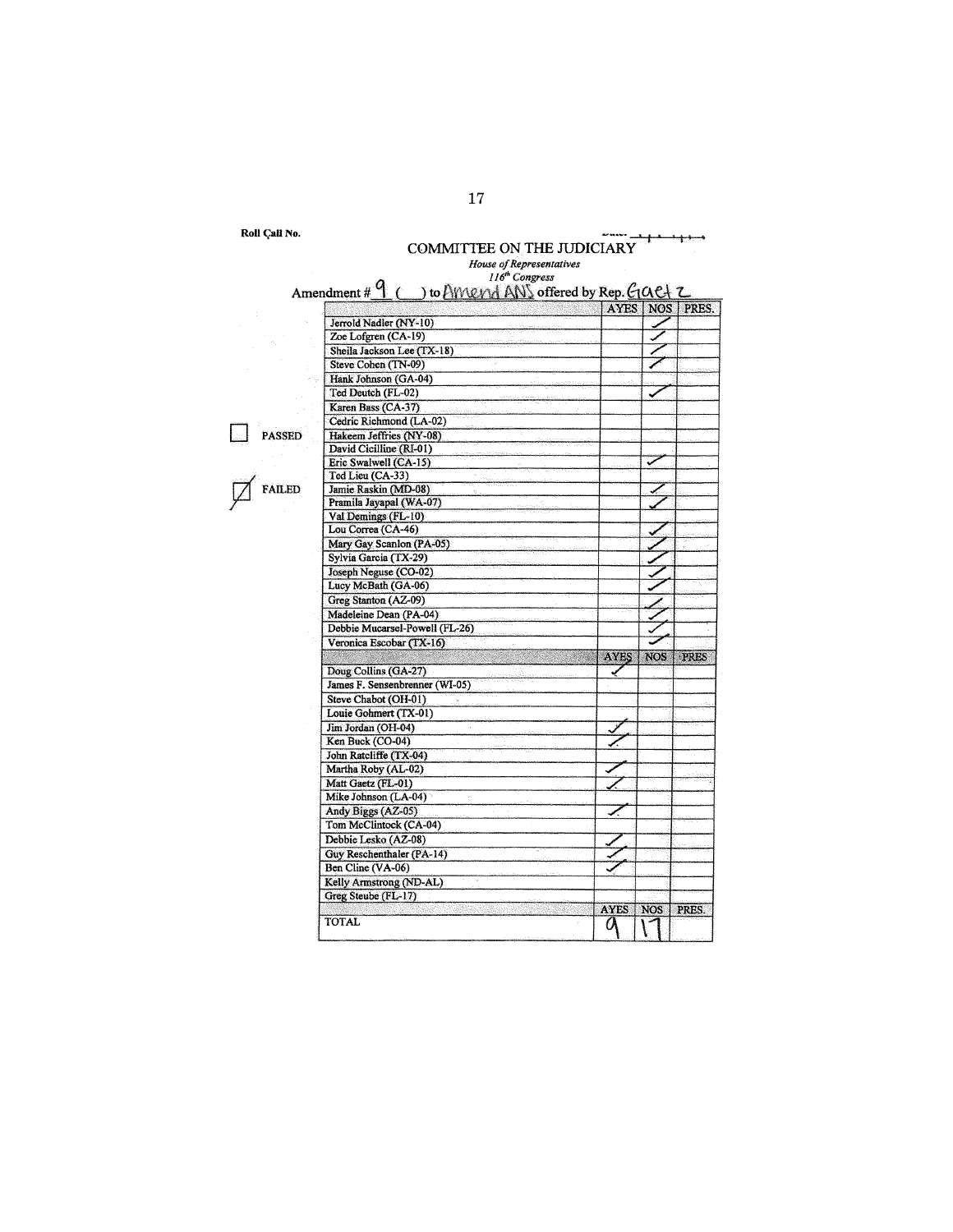Roll Call No.<br>**COMMITTEE ON THE JUDICIARY** *House of Representatives*  <sup>116</sup><sup>\*</sup> Congress<br>Amendment # L. ( b) to AlWA ANS offered by Rep.  $AY$ Jerrold Nadler (NY-10)<br>
Zoe Loferen (CA-19)  $Z$ oe Lofgren (CA-19)<br>
Sheila Jackson Lee (TX-18) Sheila Jackson Lee (TX-18) Steve Cohen (TN-09) Hank Johnson (GA-04) Ted Deutch (FL-02) Karen Bass (CA-37) D PASSED Cedric Richmond (LA-02) Hakeem Jeffries (NY-08) David Cicilline (RI-01) David Cicilline (KL-01)<br>Eric Swalwell (CA-15)<br>Ted Lieu (CA-33)  $\boxed{\phantom{1}}$  FAILED Jamie Raskin (MD-08) Jamie Raskin (MD-08)<br>Pramila Jayapal (WA-07)<br>Val Demings (FL-10) Lou Correa (CA-46) Mary Gay Scanlon (PA-05) Sylvia Garcia (TX-29)<br>Joseph Neguse (CO-02) Hakeem Jeffries (NY-08)<br>
David Cicilline (RI-01)<br>
Eric Swalwell (CA-15)<br>
Ted Lieu (CA-33)<br>
Jamie Raskin (MD-08)<br>
Pramila Jayapal (WA-07)<br>
Val Demings (FL-10)<br>
Lou Correa (CA-46)<br>
Mary Gay Scanlon (PA-05)<br>
Sylvia García (TX .<br>پيد 6) and  $\sim$   $\sim$   $\sim$   $\sim$   $\sim$   $\sim$ Madeleine Dean (PA-04) / Madeleine Dean (PA-04)<br>
Debbie Mucarsel-Powell (FL-26)<br>
Veronica Escobar (TX-16)<br>
Doug Collins (GA-27)<br>
James F. Sensenbrenner (W1-05) Debbie Mucarsel-Powell (FL-26)<br>Veronica Escobar (TX-16)<br>Doug Collins (GA-27) James F. Sensenbrenner (WI-05)<br>Steve Chabot (OH-01) Louie Gohmert (TX-01) Jim Jordan (OH-04) Ken Buck  $(\overrightarrow{CO-04})$ John Ratcliffe (TX-04) Martha Roby (AL-02) Matt Gaetz (FL-01) Mike Johnson (LA-04) Andy Biggs  $(AZ-05)$  . Tom McClintock (CA-04) Debbie Lesko (AZ-08) Guy Reschenthaler (PA-14) ../ Ben Cline  $(VA-06)$ Kelly Armstrong (ND-AL)

TOTAL AYES NOS

AYES NOS PRES.

Greg Steube (FL-17)

17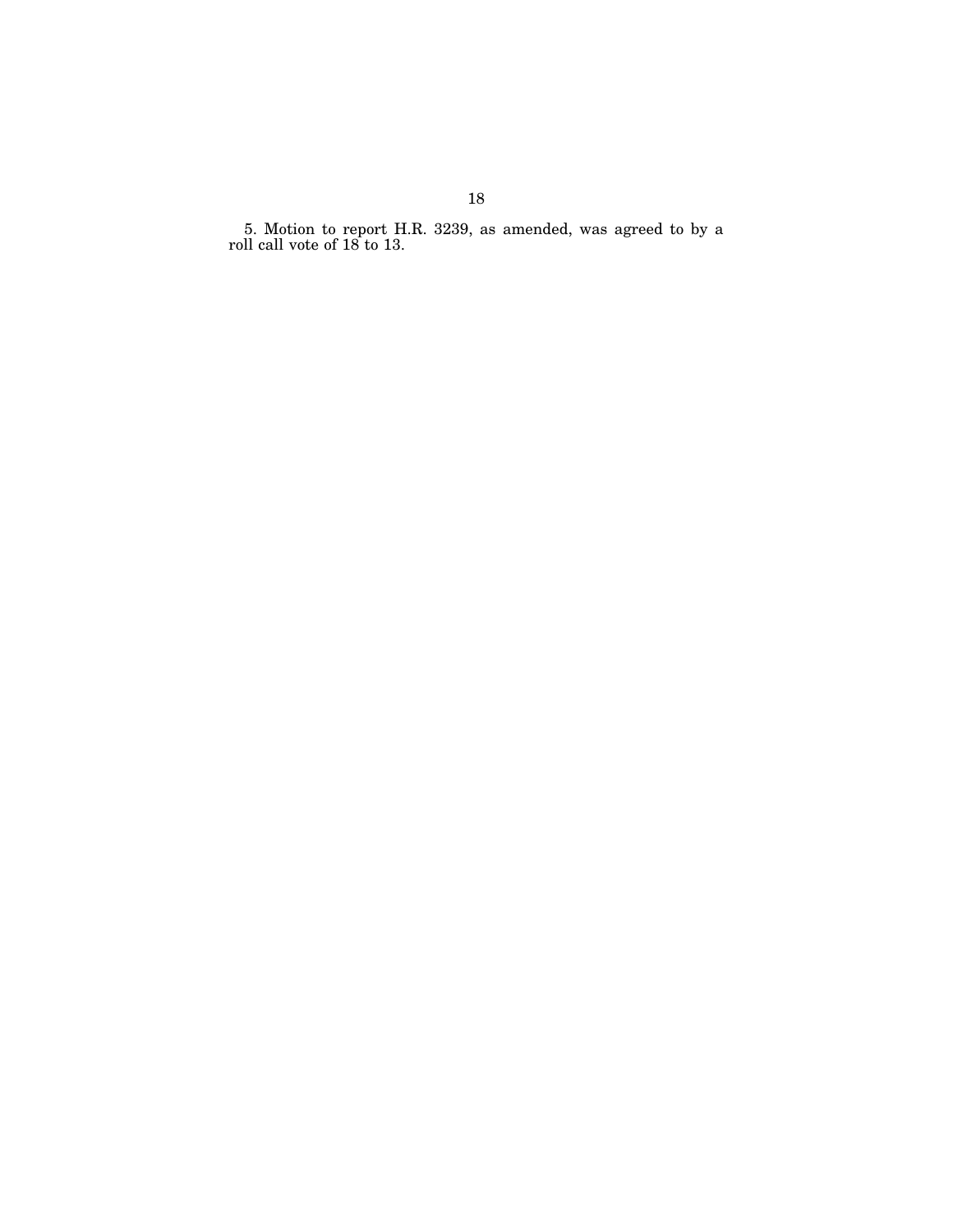5. Motion to report H.R. 3239, as amended, was agreed to by a roll call vote of 18 to 13.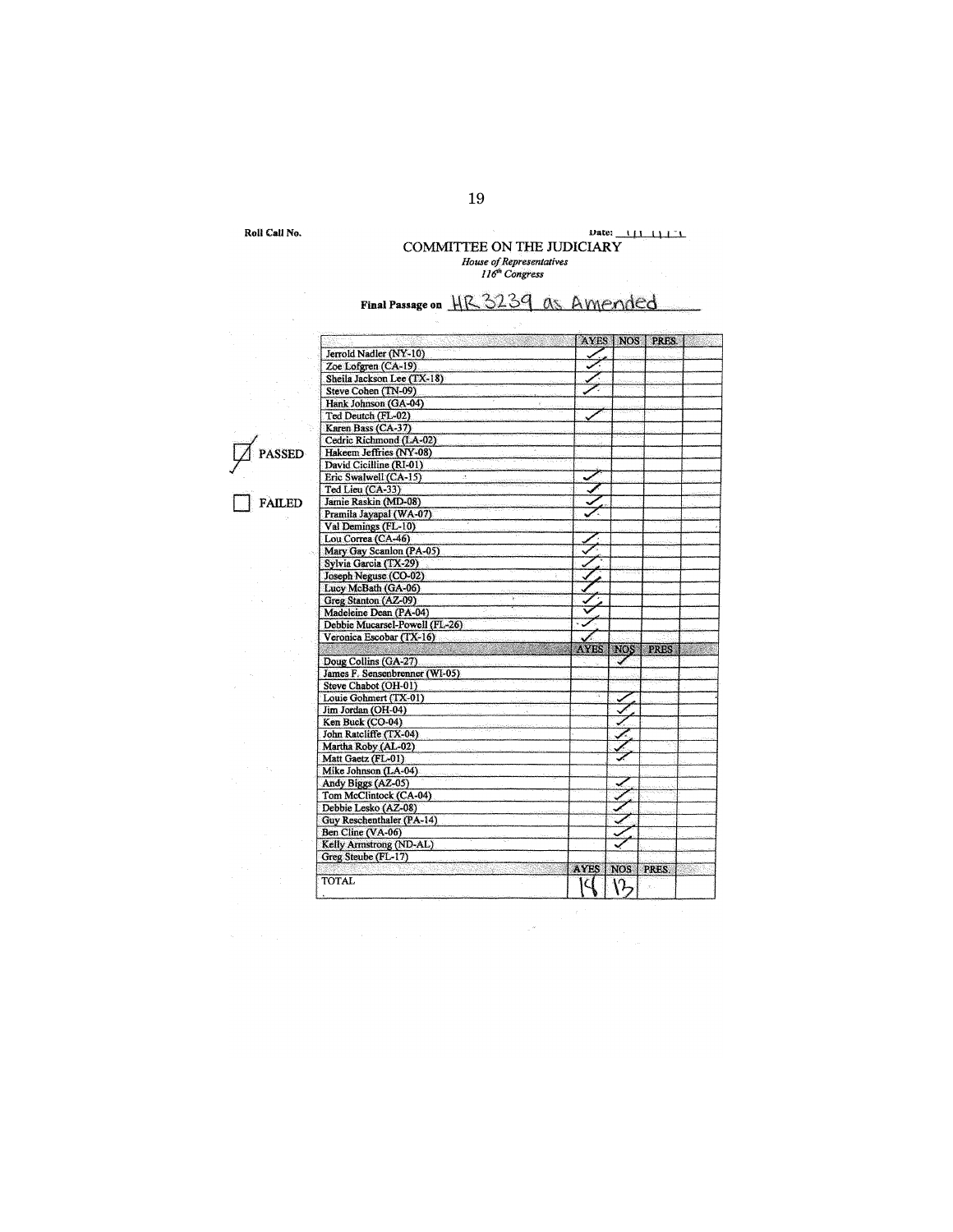Roll Call No.

 $\bar{\gamma}$ 

# **uate:** <u>**111 111 1**</u> COMMITTEE ON THE JUDICIARY *House of Representatives I I* tl' *Congress*

# Final Passage on HR 3239 as Amended

|               |                                |             | AYES   NOS       | PRES.       |  |
|---------------|--------------------------------|-------------|------------------|-------------|--|
|               | Jerrold Nadler (NY-10)         |             |                  |             |  |
|               | Zoe Lofgren (CA-19)            |             |                  |             |  |
|               | Sheila Jackson Lee (TX-18)     |             |                  |             |  |
|               | Steve Cohen (TN-09)            |             |                  |             |  |
|               | Hank Johnson (GA-04)           |             |                  |             |  |
|               | Ted Deutch (FL-02)             |             |                  |             |  |
|               | Karen Bass (CA-37)             |             |                  |             |  |
|               | Cedric Richmond (LA-02)        |             |                  |             |  |
| <b>SSED</b>   | Hakeem Jeffries (NY-08)        |             |                  |             |  |
|               | David Cicilline (RI-01)        |             |                  |             |  |
|               | Eric Swalwell (CA-15)          |             |                  |             |  |
|               | Ted Lieu (CA-33)               |             |                  |             |  |
| <b>FAILED</b> | Jamie Raskin (MD-08)           |             |                  |             |  |
|               | Pramila Jayapal (WA-07)        |             |                  |             |  |
|               | Val Demings (FL-10)            |             |                  |             |  |
|               | Lou Correa (CA-46)             |             |                  |             |  |
|               | Mary Gay Scanlon (PA-05)       |             |                  |             |  |
|               | Sylvia Garcia (TX-29)          |             |                  |             |  |
|               | Joseph Neguse (CO-02)          |             |                  |             |  |
|               |                                |             |                  |             |  |
|               | Lucy McBath (GA-06)            |             |                  |             |  |
|               | Greg Stanton (AZ-09)           |             |                  |             |  |
|               | Madeleine Dean (PA-04)         |             |                  |             |  |
|               | Debbie Mucarsel-Powell (FL-26) |             |                  |             |  |
|               | Veronica Escobar (TX-16)       |             |                  |             |  |
|               |                                | <b>AYES</b> | <b>NOS</b>       | <b>PRES</b> |  |
|               | Doug Collins (GA-27)           |             |                  |             |  |
|               | James F. Sensenbrenner (WI-05) |             |                  |             |  |
|               | Steve Chabot (OH-01)           |             |                  |             |  |
|               | Louie Gohmert (TX-01)          |             | ್                |             |  |
|               | Jim Jordan (OH-04)             |             |                  |             |  |
|               | Ken Buck (CO-04)               |             |                  |             |  |
|               | John Ratcliffe (TX-04)         |             |                  |             |  |
|               | Martha Roby (AL-02)            |             |                  |             |  |
|               | Matt Gaetz (FL-01)             |             |                  |             |  |
|               | Mike Johnson (LA-04)           |             |                  |             |  |
|               | Andy Biggs (AZ-05)             |             | بر               |             |  |
|               | Tom McClintock (CA-04)         |             |                  |             |  |
|               | Debbie Lesko (AZ-08)           |             |                  |             |  |
|               | Guy Reschenthaler (PA-14)      |             |                  |             |  |
|               | Ben Cline (VA-06)              |             |                  |             |  |
|               | Kelly Armstrong (ND-AL)        |             |                  |             |  |
|               | Greg Steube (FL-17)            |             |                  |             |  |
|               |                                | <b>AYES</b> | <b>NOS</b>       | PRES.       |  |
|               | <b>TOTAL</b>                   |             | $\hat{\Omega}_Z$ |             |  |

 $\tau_{\rm{g}}$  is

19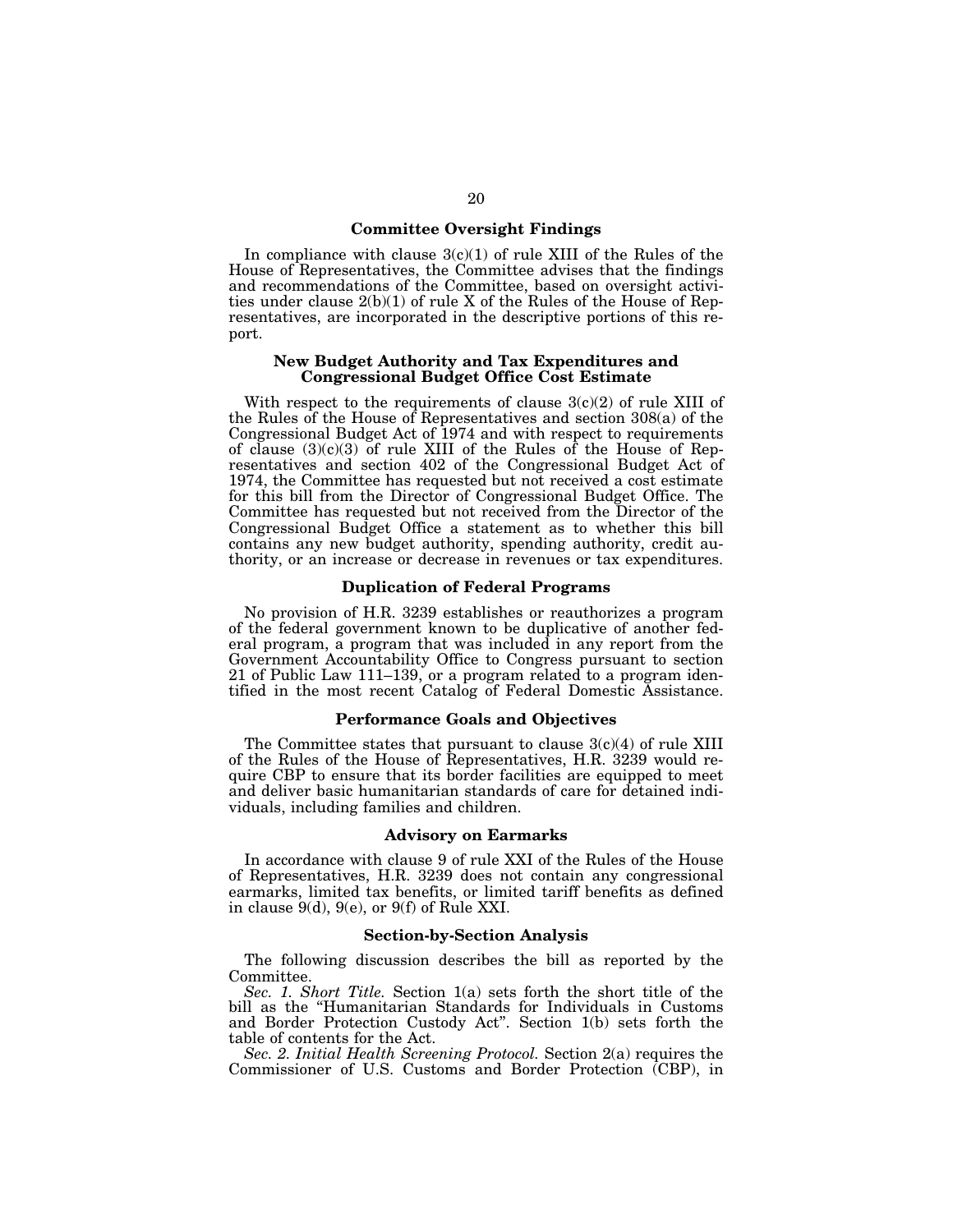## **Committee Oversight Findings**

In compliance with clause  $3(c)(1)$  of rule XIII of the Rules of the House of Representatives, the Committee advises that the findings and recommendations of the Committee, based on oversight activities under clause  $2(b)(1)$  of rule X of the Rules of the House of Representatives, are incorporated in the descriptive portions of this report.

## **New Budget Authority and Tax Expenditures and Congressional Budget Office Cost Estimate**

With respect to the requirements of clause  $3(c)(2)$  of rule XIII of the Rules of the House of Representatives and section 308(a) of the Congressional Budget Act of 1974 and with respect to requirements of clause  $(3)(c)(3)$  of rule XIII of the Rules of the House of Representatives and section 402 of the Congressional Budget Act of 1974, the Committee has requested but not received a cost estimate for this bill from the Director of Congressional Budget Office. The Committee has requested but not received from the Director of the Congressional Budget Office a statement as to whether this bill contains any new budget authority, spending authority, credit authority, or an increase or decrease in revenues or tax expenditures.

## **Duplication of Federal Programs**

No provision of H.R. 3239 establishes or reauthorizes a program of the federal government known to be duplicative of another federal program, a program that was included in any report from the Government Accountability Office to Congress pursuant to section 21 of Public Law 111–139, or a program related to a program identified in the most recent Catalog of Federal Domestic Assistance.

## **Performance Goals and Objectives**

The Committee states that pursuant to clause  $3(c)(4)$  of rule XIII of the Rules of the House of Representatives, H.R. 3239 would require CBP to ensure that its border facilities are equipped to meet and deliver basic humanitarian standards of care for detained individuals, including families and children.

### **Advisory on Earmarks**

In accordance with clause 9 of rule XXI of the Rules of the House of Representatives, H.R. 3239 does not contain any congressional earmarks, limited tax benefits, or limited tariff benefits as defined in clause 9(d), 9(e), or 9(f) of Rule XXI.

#### **Section-by-Section Analysis**

The following discussion describes the bill as reported by the Committee.

*Sec. 1. Short Title.* Section 1(a) sets forth the short title of the bill as the ''Humanitarian Standards for Individuals in Customs and Border Protection Custody Act''. Section 1(b) sets forth the table of contents for the Act.

*Sec. 2. Initial Health Screening Protocol.* Section 2(a) requires the Commissioner of U.S. Customs and Border Protection (CBP), in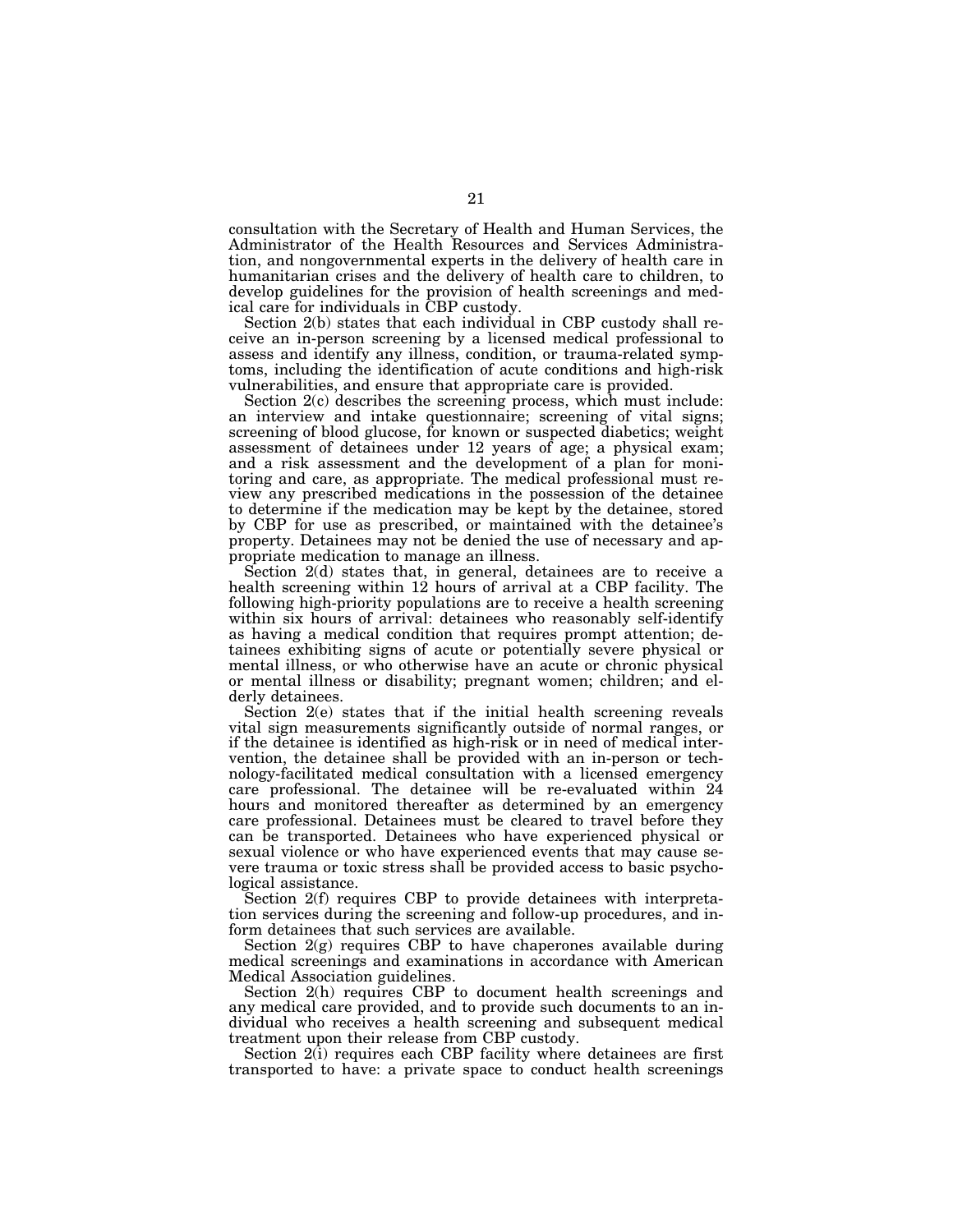consultation with the Secretary of Health and Human Services, the Administrator of the Health Resources and Services Administration, and nongovernmental experts in the delivery of health care in humanitarian crises and the delivery of health care to children, to develop guidelines for the provision of health screenings and medical care for individuals in CBP custody.

Section 2(b) states that each individual in CBP custody shall receive an in-person screening by a licensed medical professional to assess and identify any illness, condition, or trauma-related symptoms, including the identification of acute conditions and high-risk vulnerabilities, and ensure that appropriate care is provided.

Section  $2(c)$  describes the screening process, which must include: an interview and intake questionnaire; screening of vital signs; screening of blood glucose, for known or suspected diabetics; weight assessment of detainees under 12 years of age; a physical exam; and a risk assessment and the development of a plan for monitoring and care, as appropriate. The medical professional must review any prescribed medications in the possession of the detainee to determine if the medication may be kept by the detainee, stored by CBP for use as prescribed, or maintained with the detainee's property. Detainees may not be denied the use of necessary and appropriate medication to manage an illness.

Section 2(d) states that, in general, detainees are to receive a health screening within 12 hours of arrival at a CBP facility. The following high-priority populations are to receive a health screening within six hours of arrival: detainees who reasonably self-identify as having a medical condition that requires prompt attention; detainees exhibiting signs of acute or potentially severe physical or mental illness, or who otherwise have an acute or chronic physical or mental illness or disability; pregnant women; children; and elderly detainees.

Section 2(e) states that if the initial health screening reveals vital sign measurements significantly outside of normal ranges, or if the detainee is identified as high-risk or in need of medical intervention, the detainee shall be provided with an in-person or technology-facilitated medical consultation with a licensed emergency care professional. The detainee will be re-evaluated within 24 hours and monitored thereafter as determined by an emergency care professional. Detainees must be cleared to travel before they can be transported. Detainees who have experienced physical or sexual violence or who have experienced events that may cause severe trauma or toxic stress shall be provided access to basic psychological assistance.

Section 2(f) requires CBP to provide detainees with interpretation services during the screening and follow-up procedures, and inform detainees that such services are available.

Section 2(g) requires CBP to have chaperones available during medical screenings and examinations in accordance with American Medical Association guidelines.

Section 2(h) requires CBP to document health screenings and any medical care provided, and to provide such documents to an individual who receives a health screening and subsequent medical treatment upon their release from CBP custody.

Section 2(i) requires each CBP facility where detainees are first transported to have: a private space to conduct health screenings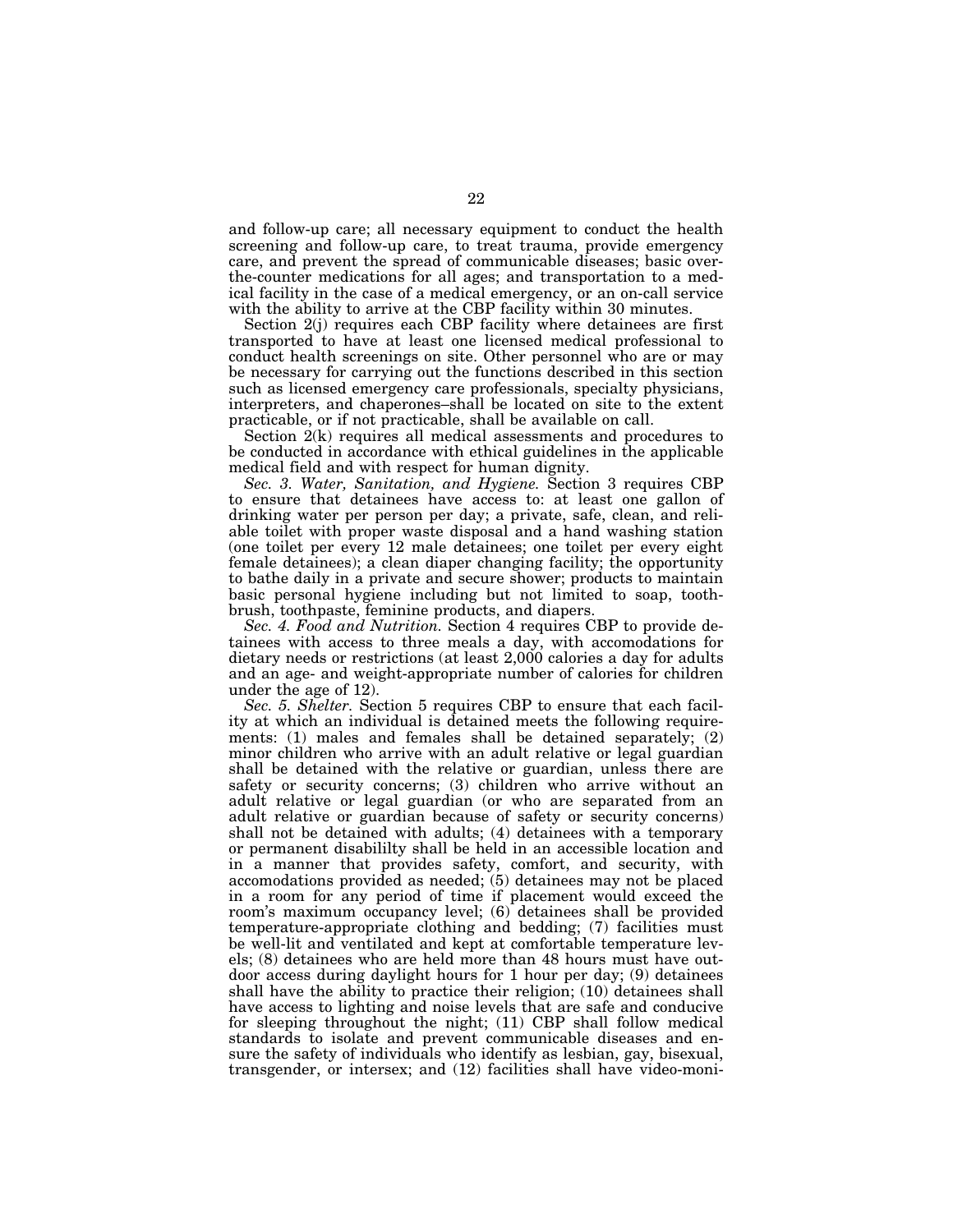and follow-up care; all necessary equipment to conduct the health screening and follow-up care, to treat trauma, provide emergency care, and prevent the spread of communicable diseases; basic overthe-counter medications for all ages; and transportation to a medical facility in the case of a medical emergency, or an on-call service with the ability to arrive at the CBP facility within 30 minutes.

Section 2(j) requires each CBP facility where detainees are first transported to have at least one licensed medical professional to conduct health screenings on site. Other personnel who are or may be necessary for carrying out the functions described in this section such as licensed emergency care professionals, specialty physicians, interpreters, and chaperones–shall be located on site to the extent practicable, or if not practicable, shall be available on call.

Section 2(k) requires all medical assessments and procedures to be conducted in accordance with ethical guidelines in the applicable medical field and with respect for human dignity.

*Sec. 3. Water, Sanitation, and Hygiene.* Section 3 requires CBP to ensure that detainees have access to: at least one gallon of drinking water per person per day; a private, safe, clean, and reliable toilet with proper waste disposal and a hand washing station (one toilet per every 12 male detainees; one toilet per every eight female detainees); a clean diaper changing facility; the opportunity to bathe daily in a private and secure shower; products to maintain basic personal hygiene including but not limited to soap, toothbrush, toothpaste, feminine products, and diapers.

*Sec. 4. Food and Nutrition.* Section 4 requires CBP to provide detainees with access to three meals a day, with accomodations for dietary needs or restrictions (at least 2,000 calories a day for adults and an age- and weight-appropriate number of calories for children under the age of 12).

*Sec. 5. Shelter.* Section 5 requires CBP to ensure that each facility at which an individual is detained meets the following requirements: (1) males and females shall be detained separately; (2) minor children who arrive with an adult relative or legal guardian shall be detained with the relative or guardian, unless there are safety or security concerns; (3) children who arrive without an adult relative or legal guardian (or who are separated from an adult relative or guardian because of safety or security concerns) shall not be detained with adults; (4) detainees with a temporary or permanent disabililty shall be held in an accessible location and in a manner that provides safety, comfort, and security, with accomodations provided as needed; (5) detainees may not be placed in a room for any period of time if placement would exceed the room's maximum occupancy level; (6) detainees shall be provided temperature-appropriate clothing and bedding; (7) facilities must be well-lit and ventilated and kept at comfortable temperature levels; (8) detainees who are held more than 48 hours must have outdoor access during daylight hours for 1 hour per day; (9) detainees shall have the ability to practice their religion; (10) detainees shall have access to lighting and noise levels that are safe and conducive for sleeping throughout the night; (11) CBP shall follow medical standards to isolate and prevent communicable diseases and ensure the safety of individuals who identify as lesbian, gay, bisexual, transgender, or intersex; and (12) facilities shall have video-moni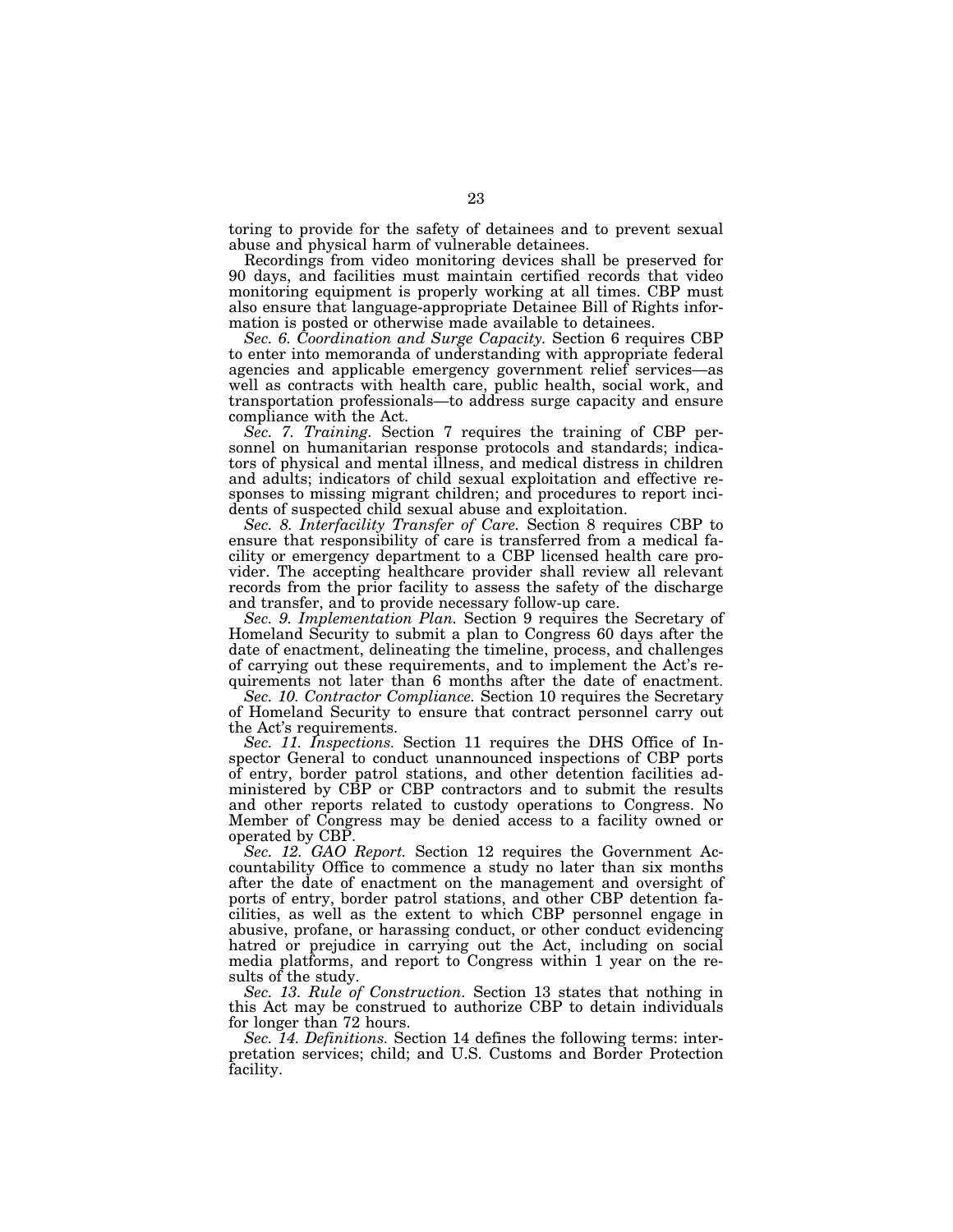toring to provide for the safety of detainees and to prevent sexual abuse and physical harm of vulnerable detainees.

Recordings from video monitoring devices shall be preserved for 90 days, and facilities must maintain certified records that video monitoring equipment is properly working at all times. CBP must also ensure that language-appropriate Detainee Bill of Rights information is posted or otherwise made available to detainees.

*Sec. 6. Coordination and Surge Capacity.* Section 6 requires CBP to enter into memoranda of understanding with appropriate federal agencies and applicable emergency government relief services—as well as contracts with health care, public health, social work, and transportation professionals—to address surge capacity and ensure compliance with the Act.

*Sec. 7. Training.* Section 7 requires the training of CBP personnel on humanitarian response protocols and standards; indicators of physical and mental illness, and medical distress in children and adults; indicators of child sexual exploitation and effective responses to missing migrant children; and procedures to report incidents of suspected child sexual abuse and exploitation.

*Sec. 8. Interfacility Transfer of Care.* Section 8 requires CBP to ensure that responsibility of care is transferred from a medical facility or emergency department to a CBP licensed health care provider. The accepting healthcare provider shall review all relevant records from the prior facility to assess the safety of the discharge and transfer, and to provide necessary follow-up care.

*Sec. 9. Implementation Plan.* Section 9 requires the Secretary of Homeland Security to submit a plan to Congress 60 days after the date of enactment, delineating the timeline, process, and challenges of carrying out these requirements, and to implement the Act's requirements not later than 6 months after the date of enactment.

*Sec. 10. Contractor Compliance.* Section 10 requires the Secretary of Homeland Security to ensure that contract personnel carry out the Act's requirements.

*Sec. 11. Inspections.* Section 11 requires the DHS Office of Inspector General to conduct unannounced inspections of CBP ports of entry, border patrol stations, and other detention facilities administered by CBP or CBP contractors and to submit the results and other reports related to custody operations to Congress. No Member of Congress may be denied access to a facility owned or operated by CBP.

*Sec. 12. GAO Report.* Section 12 requires the Government Accountability Office to commence a study no later than six months after the date of enactment on the management and oversight of ports of entry, border patrol stations, and other CBP detention facilities, as well as the extent to which CBP personnel engage in abusive, profane, or harassing conduct, or other conduct evidencing hatred or prejudice in carrying out the Act, including on social media platforms, and report to Congress within 1 year on the results of the study.

*Sec. 13. Rule of Construction.* Section 13 states that nothing in this Act may be construed to authorize CBP to detain individuals for longer than 72 hours.

*Sec. 14. Definitions.* Section 14 defines the following terms: interpretation services; child; and U.S. Customs and Border Protection facility.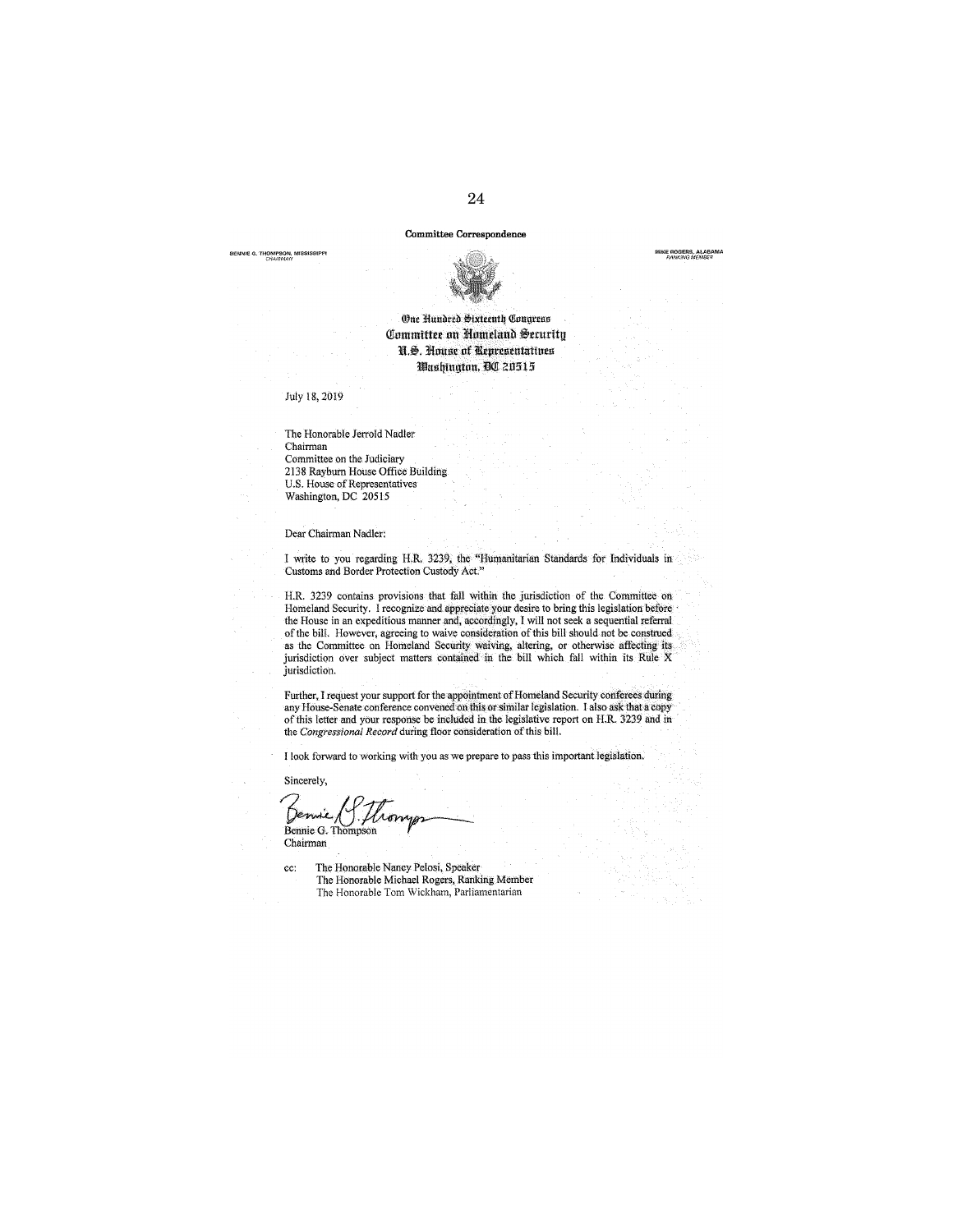#### Committee Correspondence

BENNIE G. THOMPSON, MISSISSIPPI<br>CHA(RMAN





## (One Nundred Sixteenth Congress Committee on Homeland Security U.S. House of Representatives Washinaton, DC 20515

July 18,2019

The Honorable Jerrold Nadler Chairman Committee on the Judiciary 2138 Rayburn House Office Building U.S. House of Representatives Washington, DC 20515

Dear Chairman Nadler:

I write to you regarding H.R. 3239, the "Humanitarian Standards for Individuals in Customs and Border Protection Custody Act."

H.R. 3239 contains provisions that fall within the jurisdiction of the Committee on Homeland Security. I recognize and appreciate your desire to bring this legislation before the House in an expeditious manner and, accordingly, I will not seek a sequential referral of the bilL However, agreeing to waive consideration of this bill should not be construed as the Committee on Homeland Security waiving, altering, or otherwise affecting its jurisdiction over subject matters contained in the bill which fall within its Rule X jurisdiction.

Further, I request your support for the appointment of Homeland Security conferees during<br>any House-Senate conference convened on this or similar legislation. I also ask that a copy of this letter and your response be included in the legislative report on H.R. 3239 and in the *Congressional Record* during floor consideration of this bill.

I look forward to working with you as we prepare to pass this important legislation.

Sincerely,

Sincerely,<br>Bennie G. Thompson<br>Chairman Chairman

cc: The Honorable Nancy Pelosi, Speaker The Honorable Michael Rogers, Ranking Member The Honorable Tom Wickham, Parliamentarian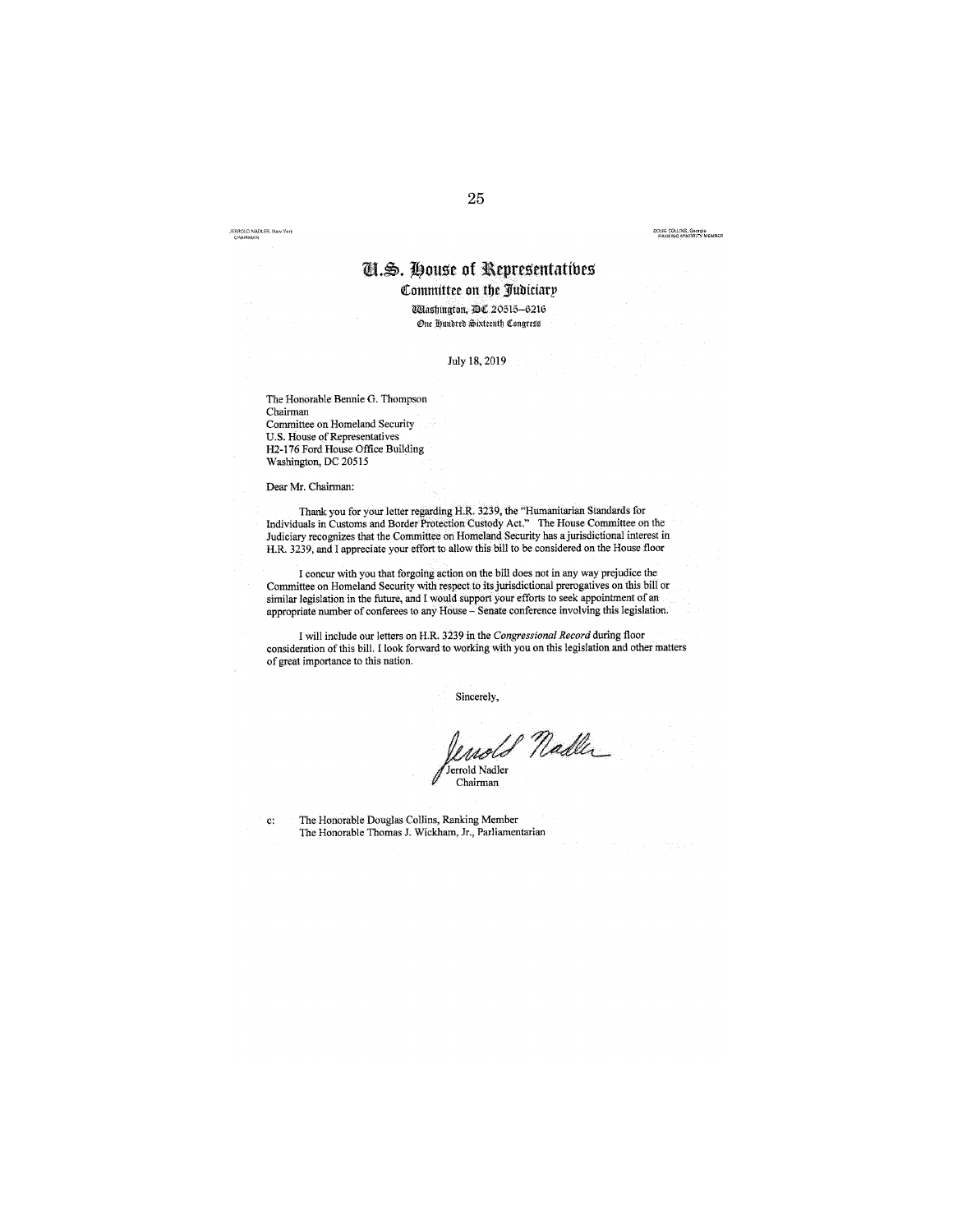JERROLD NADLER, New York

#### OOUG COLLINS, Georgia<br>• PANKING MINORITY MEMBER

# m:.\$. **li)ous>e of l\epres>entattbes**

**l.tommittee on tbc** *31ubiciatp* 

Wlashington, DC 20515-6216 One Hundred Sixteenth Congress

July !8, 2019

The Honorable Bennie G. Thompson Chairman Committee on Homeland Security U.S. House of Representatives H2-176 Ford House Office Building Washington, DC 20515

Dear Mr. Chairman:

Thank you for your letter regarding H.R. 3239, the "Humanitarian Standards for Individuals in Customs and Border Protection Custody Act." The House Committee on the Judiciary recognizes that the Committee on Homeland Security has a jurisdictional interest in H.R. 3239, and I appreciate your effort to allow this bill to be considered on the House floor

I concur with you that forgoing action on the bill does not in any way prejudice the Committee on Homeland Security with respect to its jurisdictional prerogatives on this bill or similar legislation in the future, and I would support your efforts to seek appointment of an appropriate number of conferees to any House- Senate conference involving this legislation.

I will include our letters on H.R. 3239 in the *Congressional Record* during floor consideration of this bill. I look forward to working with you on this legislation and other matters of great importance to this nation.

Sincerely,

enold Nadler Jerrold Nadler Chairman

c: The Honorable Douglas Collins, Ranking Member The Honorable Thomas J. Wickham, Jr., Parliamentarian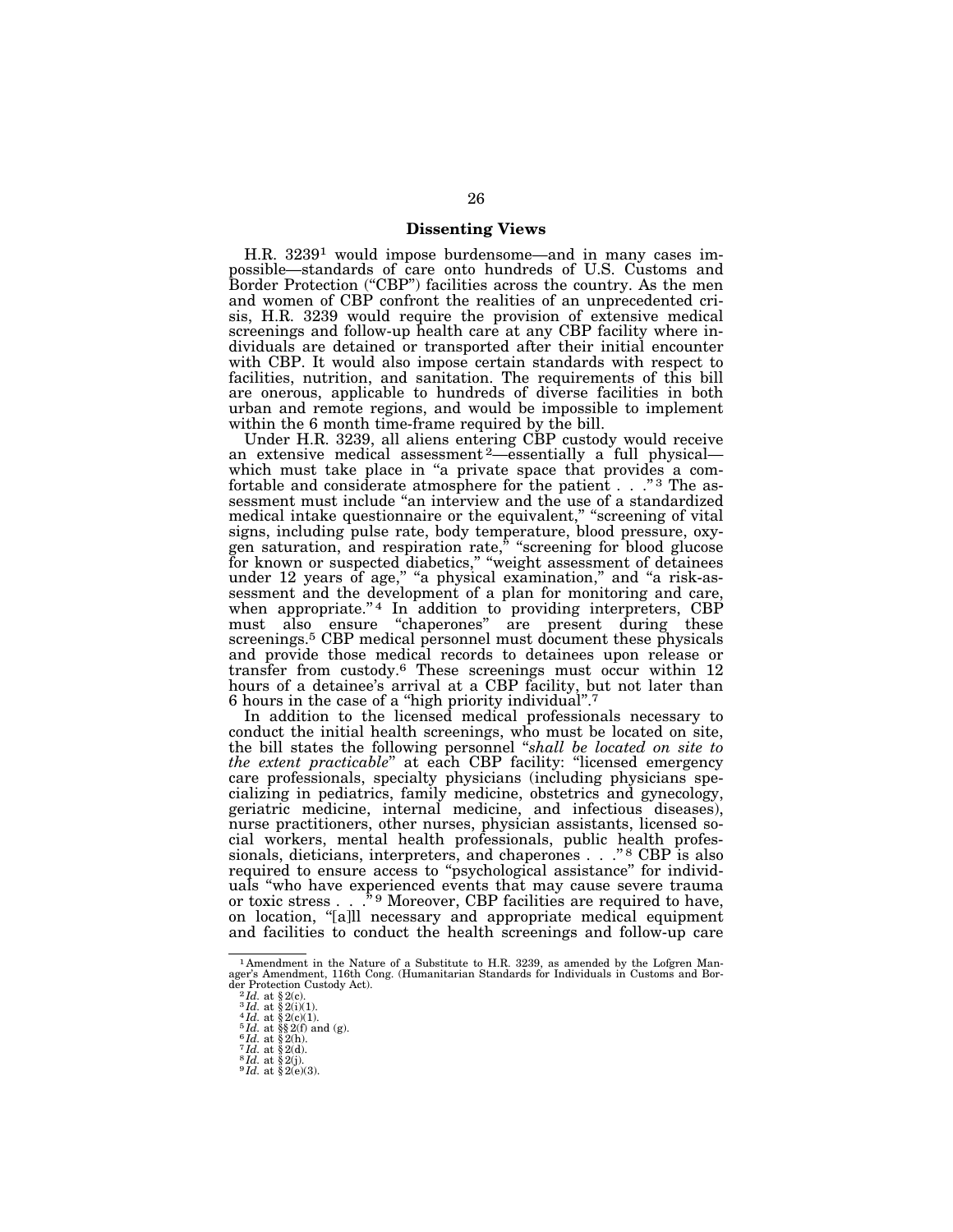## **Dissenting Views**

H.R. 32391 would impose burdensome—and in many cases impossible—standards of care onto hundreds of U.S. Customs and Border Protection ("CBP") facilities across the country. As the men and women of CBP confront the realities of an unprecedented crisis, H.R. 3239 would require the provision of extensive medical screenings and follow-up health care at any CBP facility where individuals are detained or transported after their initial encounter with CBP. It would also impose certain standards with respect to facilities, nutrition, and sanitation. The requirements of this bill are onerous, applicable to hundreds of diverse facilities in both urban and remote regions, and would be impossible to implement within the 6 month time-frame required by the bill.

Under H.R. 3239, all aliens entering CBP custody would receive an extensive medical assessment 2—essentially a full physical which must take place in "a private space that provides a comfortable and considerate atmosphere for the patient . . ."<sup>3</sup> The assessment must include ''an interview and the use of a standardized medical intake questionnaire or the equivalent," "screening of vital signs, including pulse rate, body temperature, blood pressure, oxygen saturation, and respiration rate," "screening for blood glucose for known or suspected diabetics," "weight assessment of detainees under 12 years of age," "a physical examination," and "a risk-assessment and the development of a plan for monitoring and care, when appropriate." $4$  In addition to providing interpreters, CBP must also ensure ''chaperones'' are present during these screenings.<sup>5</sup> CBP medical personnel must document these physicals and provide those medical records to detainees upon release or transfer from custody.6 These screenings must occur within 12 hours of a detainee's arrival at a CBP facility, but not later than 6 hours in the case of a ''high priority individual''.7

In addition to the licensed medical professionals necessary to conduct the initial health screenings, who must be located on site, the bill states the following personnel ''*shall be located on site to the extent practicable*'' at each CBP facility: ''licensed emergency care professionals, specialty physicians (including physicians specializing in pediatrics, family medicine, obstetrics and gynecology, geriatric medicine, internal medicine, and infectious diseases), nurse practitioners, other nurses, physician assistants, licensed social workers, mental health professionals, public health professionals, dieticians, interpreters, and chaperones . . . "<sup>8</sup> CBP is also required to ensure access to ''psychological assistance'' for individuals ''who have experienced events that may cause severe trauma or toxic stress . . .<sup>\*</sup><sup>9</sup> Moreover, CBP facilities are required to have, on location, ''[a]ll necessary and appropriate medical equipment and facilities to conduct the health screenings and follow-up care

<sup>1</sup> Amendment in the Nature of a Substitute to H.R. 3239, as amended by the Lofgren Man-ager's Amendment, 116th Cong. (Humanitarian Standards for Individuals in Customs and Borager s Amendment, 116th Contraction Custody Act).<br>  ${}^{2}Id.$  at § 2(c).<br>  ${}^{3}Id.$  at § 2(i)(1).<br>  ${}^{4}Id.$  at § 2(i)(1).<br>  ${}^{4}Id.$  at § 2(i)(1).<br>  ${}^{5}Id.$  at § 8(f) and (g).<br>  ${}^{6}Id.$  at § 2(h).<br>  ${}^{7}Id.$  at § 2(a).<br>  ${}^{8}Id$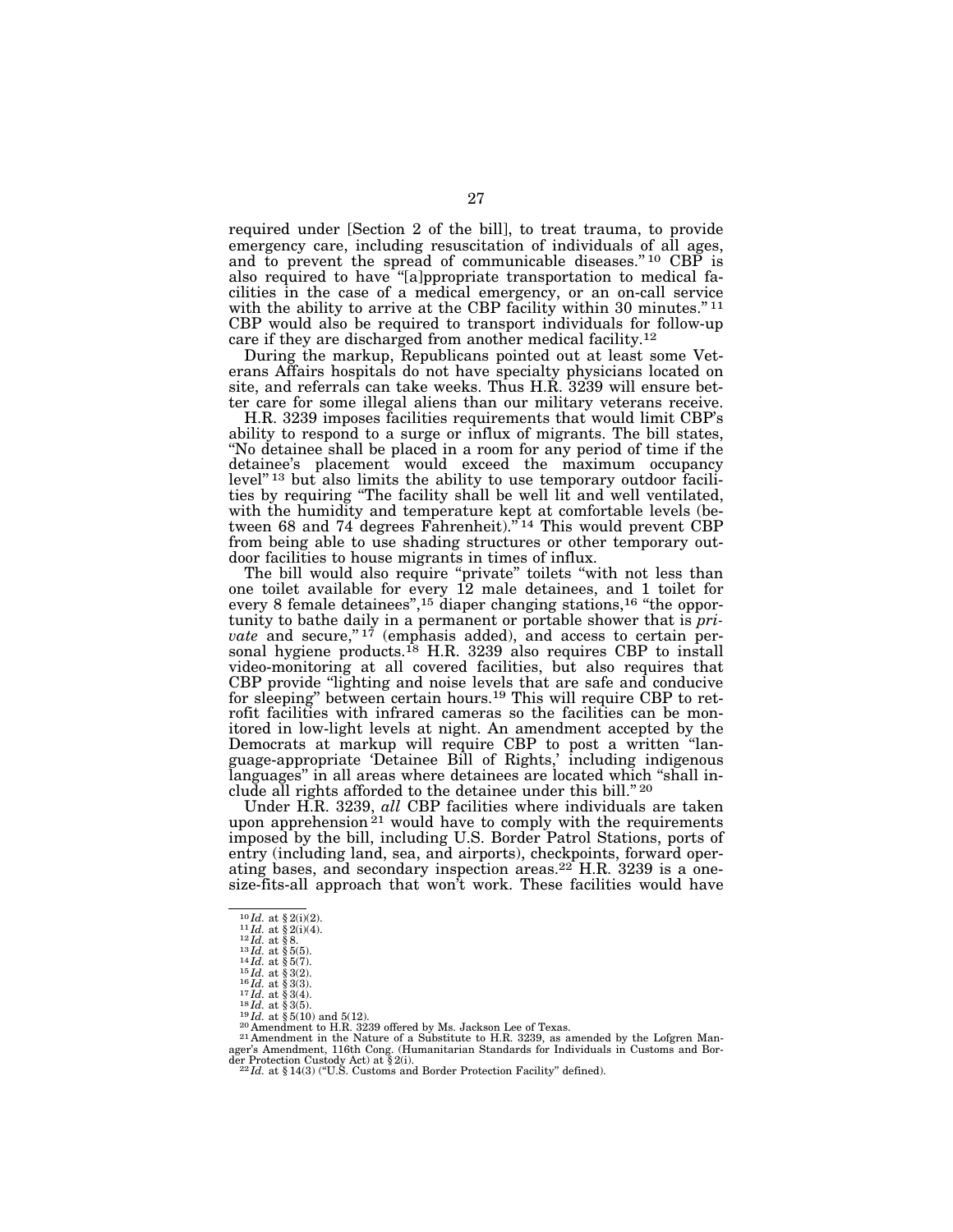required under [Section 2 of the bill], to treat trauma, to provide emergency care, including resuscitation of individuals of all ages, and to prevent the spread of communicable diseases."<sup>10</sup> CBP is also required to have ''[a]ppropriate transportation to medical facilities in the case of a medical emergency, or an on-call service with the ability to arrive at the CBP facility within 30 minutes."<sup>11</sup> CBP would also be required to transport individuals for follow-up care if they are discharged from another medical facility.12

During the markup, Republicans pointed out at least some Veterans Affairs hospitals do not have specialty physicians located on site, and referrals can take weeks. Thus H.R. 3239 will ensure better care for some illegal aliens than our military veterans receive.

H.R. 3239 imposes facilities requirements that would limit CBP's ability to respond to a surge or influx of migrants. The bill states, ''No detainee shall be placed in a room for any period of time if the detainee's placement would exceed the maximum occupancy level"<sup>13</sup> but also limits the ability to use temporary outdoor facilities by requiring "The facility shall be well lit and well ventilated, with the humidity and temperature kept at comfortable levels (between 68 and 74 degrees Fahrenheit)."<sup>14</sup> This would prevent CBP from being able to use shading structures or other temporary outdoor facilities to house migrants in times of influx.

The bill would also require "private" toilets "with not less than one toilet available for every 12 male detainees, and 1 toilet for every 8 female detainees",<sup>15</sup> diaper changing stations,<sup>16</sup> "the opportunity to bathe daily in a permanent or portable shower that is *private* and secure," $1^7$  (emphasis added), and access to certain personal hygiene products.<sup>18</sup> H.R. 3239 also requires CBP to install video-monitoring at all covered facilities, but also requires that CBP provide ''lighting and noise levels that are safe and conducive for sleeping'' between certain hours.19 This will require CBP to retrofit facilities with infrared cameras so the facilities can be monitored in low-light levels at night. An amendment accepted by the Democrats at markup will require CBP to post a written ''language-appropriate 'Detainee Bill of Rights,' including indigenous languages'' in all areas where detainees are located which ''shall include all rights afforded to the detainee under this bill.'' 20

Under H.R. 3239, *all* CBP facilities where individuals are taken upon apprehension<sup>21</sup> would have to comply with the requirements imposed by the bill, including U.S. Border Patrol Stations, ports of entry (including land, sea, and airports), checkpoints, forward operating bases, and secondary inspection areas. $22$  H.R. 3239 is a onesize-fits-all approach that won't work. These facilities would have

 $\begin{array}{l} \vspace{10pt} 10 \, I \text{d. at } \$\,2 \text{(i)} \text{(2)}.\\ \vspace{11pt} 11 \, I \text{d. at } \$\,2 \text{(i)} \text{(4)}.\\ \vspace{12pt} 13 \, I \text{d. at } \$\,3 \text{(5)}.\\ \vspace{13pt} 14 \, I \text{d. at } \$\,3 \text{(5)}.\\ \vspace{14pt} 15 \, I \text{d. at } \$\,3 \text{(3)}.\\ \vspace{16pt} 17 \, I \text{d. at } \$\,3 \text{(4)}.\\ \vspace{17pt} 17 \, I \text{$ ager's Amendment, 116th Cong. (Humanitarian Standards for Individuals in Customs and Bor-<br>der Protection Custody Act) at § 2(i).<br><sup>22</sup>*Id.* at § 14(3) ("U.S. Customs and Border Protection Facility" defined).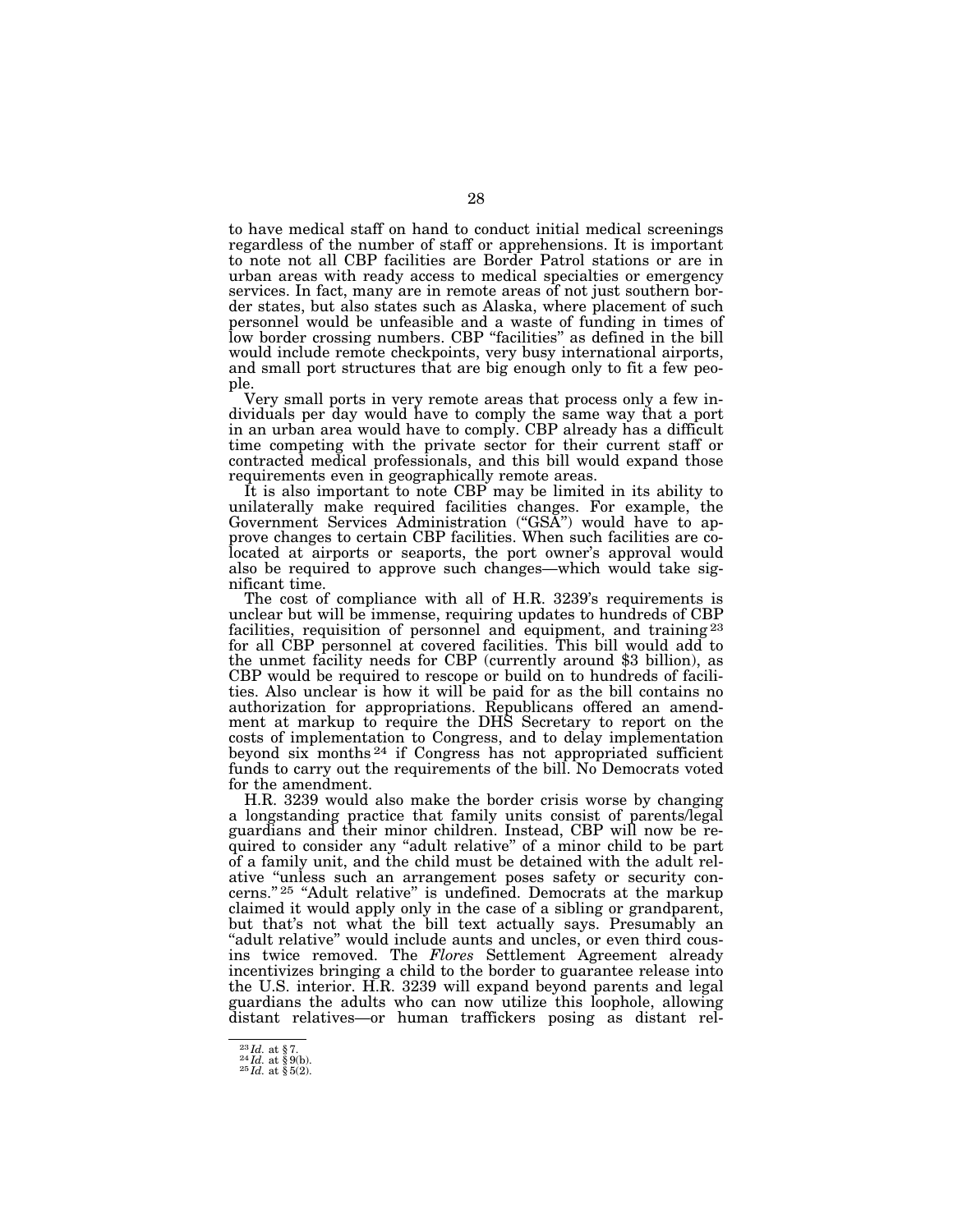to have medical staff on hand to conduct initial medical screenings regardless of the number of staff or apprehensions. It is important to note not all CBP facilities are Border Patrol stations or are in urban areas with ready access to medical specialties or emergency services. In fact, many are in remote areas of not just southern border states, but also states such as Alaska, where placement of such personnel would be unfeasible and a waste of funding in times of low border crossing numbers. CBP ''facilities'' as defined in the bill would include remote checkpoints, very busy international airports, and small port structures that are big enough only to fit a few people.

Very small ports in very remote areas that process only a few individuals per day would have to comply the same way that a port in an urban area would have to comply. CBP already has a difficult time competing with the private sector for their current staff or contracted medical professionals, and this bill would expand those requirements even in geographically remote areas.

It is also important to note CBP may be limited in its ability to unilaterally make required facilities changes. For example, the Government Services Administration ("GSA") would have to approve changes to certain CBP facilities. When such facilities are colocated at airports or seaports, the port owner's approval would also be required to approve such changes—which would take significant time.

The cost of compliance with all of H.R. 3239's requirements is unclear but will be immense, requiring updates to hundreds of CBP facilities, requisition of personnel and equipment, and training <sup>23</sup> for all CBP personnel at covered facilities. This bill would add to the unmet facility needs for CBP (currently around \$3 billion), as CBP would be required to rescope or build on to hundreds of facilities. Also unclear is how it will be paid for as the bill contains no authorization for appropriations. Republicans offered an amendment at markup to require the DHS Secretary to report on the costs of implementation to Congress, and to delay implementation beyond six months 24 if Congress has not appropriated sufficient funds to carry out the requirements of the bill. No Democrats voted for the amendment.

H.R. 3239 would also make the border crisis worse by changing a longstanding practice that family units consist of parents/legal guardians and their minor children. Instead, CBP will now be required to consider any ''adult relative'' of a minor child to be part of a family unit, and the child must be detained with the adult relative ''unless such an arrangement poses safety or security concerns.'' 25 ''Adult relative'' is undefined. Democrats at the markup claimed it would apply only in the case of a sibling or grandparent, but that's not what the bill text actually says. Presumably an "adult relative" would include aunts and uncles, or even third cousins twice removed. The *Flores* Settlement Agreement already incentivizes bringing a child to the border to guarantee release into the U.S. interior. H.R. 3239 will expand beyond parents and legal guardians the adults who can now utilize this loophole, allowing distant relatives—or human traffickers posing as distant rel-